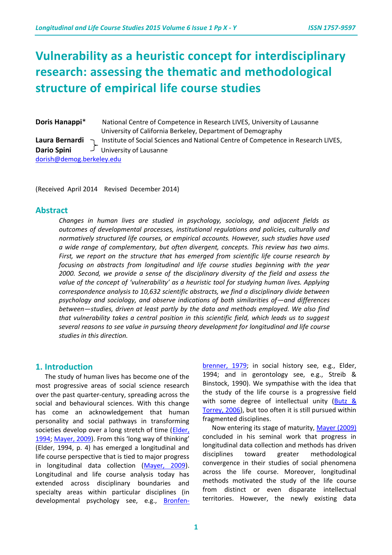# **Vulnerability as a heuristic concept for interdisciplinary research: assessing the thematic and methodological structure of empirical life course studies**

**Doris Hanappi**\* National Centre of Competence in Research LIVES, University of Lausanne University of California Berkeley, Department of Demography **Laura Bernardi**  $\Gamma$  Institute of Social Sciences and National Centre of Competence in Research LIVES, **Dario Spini** University of Lausanne [dorish@demog.berkeley.edu](mailto:dorish@demog.berkeley.edu)

(Received April 2014 Revised December 2014)

#### **Abstract**

*Changes in human lives are studied in psychology, sociology, and adjacent fields as outcomes of developmental processes, institutional regulations and policies, culturally and normatively structured life courses, or empirical accounts. However, such studies have used a wide range of complementary, but often divergent, concepts. This review has two aims. First, we report on the structure that has emerged from scientific life course research by focusing on abstracts from longitudinal and life course studies beginning with the year 2000. Second, we provide a sense of the disciplinary diversity of the field and assess the value of the concept of 'vulnerability' as a heuristic tool for studying human lives. Applying correspondence analysis to 10,632 scientific abstracts, we find a disciplinary divide between psychology and sociology, and observe indications of both similarities of—and differences between—studies, driven at least partly by the data and methods employed. We also find that vulnerability takes a central position in this scientific field, which leads us to suggest several reasons to see value in pursuing theory development for longitudinal and life course studies in this direction.* 

#### **1. Introduction**

The study of human lives has become one of the most progressive areas of social science research over the past quarter-century, spreading across the social and behavioural sciences. With this change has come an acknowledgement that human personality and social pathways in transforming societies develop over a long stretch of time (Elder, [1994;](http://www.jstor.org/stable/2786971) [Mayer, 2009](http://www.annualreviews.org/doi/full/10.1146/annurev.soc.34.040507.134619)). From this 'long way of thinking' (Elder, 1994, p. 4) has emerged a longitudinal and life course perspective that is tied to major progress in longitudinal data collection [\(Mayer, 2009\)](http://www.annualreviews.org/doi/full/10.1146/annurev.soc.34.040507.134619). Longitudinal and life course analysis today has extended across disciplinary boundaries and specialty areas within particular disciplines (in developmental psychology see, e.g., [Bronfen-](http://dx.doi.org/10.1037/0003-066X.34.10.844) [brenner, 1979;](http://dx.doi.org/10.1037/0003-066X.34.10.844) in social history see, e.g., Elder, 1994; and in gerontology see, e.g., Streib & Binstock, 1990). We sympathise with the idea that the study of the life course is a progressive field with some degree of intellectual unity (Butz & [Torrey, 2006\)](../../../../../AppData/Local/Temp/Macintosh%20HD:/DOI/%2010.1126-science.1130121), but too often it is still pursued within fragmented disciplines. Now entering its stage of maturity, [Mayer \(2009\)](http://www.annualreviews.org/doi/full/10.1146/annurev.soc.34.040507.134619)

concluded in his seminal work that progress in longitudinal data collection and methods has driven disciplines toward greater methodological convergence in their studies of social phenomena across the life course. Moreover, longitudinal methods motivated the study of the life course from distinct or even disparate intellectual territories. However, the newly existing data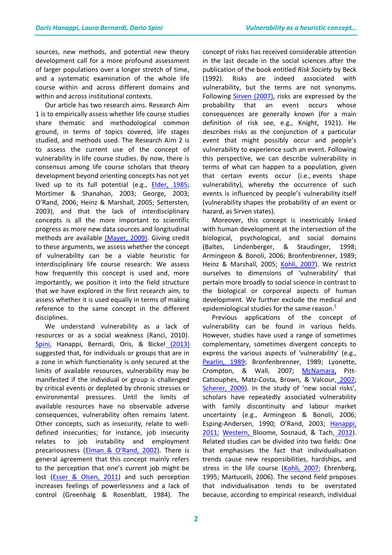sources, new methods, and potential new theory development call for a more profound assessment of larger populations over a longer stretch of time, and a systematic examination of the whole life course within and across different domains and within and across institutional contexts.

Our article has two research aims. Research Aim 1 is to empirically assess whether life course studies share thematic and methodological common ground, in terms of topics covered, life stages studied, and methods used. The Research Aim 2 is to assess the current use of the concept of vulnerability in life course studies. By now, there is consensus among life course scholars that theory development beyond orienting concepts has not yet lived up to its full potential (e.g., [Elder, 1985;](http://www.popline.org/node/421483) Mortimer & Shanahan, 2003; George, 2003; O'Rand, 2006; Heinz & Marshall, 2005; Settersten, 2003), and that the lack of interdisciplinary concepts is all the more important to scientific progress as more new data sources and longitudinal methods are available [\(Mayer, 2009\).](http://www.annualreviews.org/doi/full/10.1146/annurev.soc.34.040507.134619) Giving credit to these arguments, we assess whether the concept of vulnerability can be a viable heuristic for interdisciplinary life course research: We assess how frequently this concept is used and, more importantly, we position it into the field structure that we have explored in the first research aim, to assess whether it is used equally in terms of making reference to the same concept in the different disciplines.

We understand vulnerability as a lack of resources or as a social weakness (Ranci, 2010). [Spini, Hanappi, Bernardi, Oris, & Bickel](../../../../../AppData/Local/Temp/dx.doi.org/10.12682/lives.2296-1658.2013.27) (2013) suggested that, for individuals or groups that are in a zone in which functionality is only secured at the limits of available resources, vulnerability may be manifested if the individual or group is challenged by critical events or depleted by chronic stresses or environmental pressures. Until the limits of available resources have no observable adverse consequences, vulnerability often remains latent. Other concepts, such as insecurity, relate to welldefined insecurities; for instance, job insecurity relates to job instability and employment precariousness ([Elman & O'Rand, 2002](http://dx.doi.org/10.1006/ssre.2001.0718)). There is general agreement that this concept mainly refers to the perception that one's current job might be lost (**Esser & Olsen, 2011**) and such perception increases feelings of powerlessness and a lack of control (Greenhalg & Rosenblatt, 1984). The

concept of risks has received considerable attention in the last decade in the social sciences after the publication of the book entitled *Risk Society* by Beck (1992). Risks are indeed associated with vulnerability, but the terms are not synonyms. Following [Sirven \(2007\),](http://www.cairn.info/resume.php?ID_ARTICLE=MED_140_0009) risks are expressed by the probability that an event occurs whose consequences are generally known (for a main definition of risk see, e.g., Knight, 1921). He describes risks as the conjunction of a particular event that might possibly occur and people's vulnerability to experience such an event. Following this perspective, we can describe vulnerability in terms of what can happen to a population, given that certain events occur (i.e., events shape vulnerability), whereby the occurrence of such events is influenced by people's vulnerability itself (vulnerability shapes the probability of an event or hazard, as Sirven states).

Moreover, this concept is inextricably linked with human development at the intersection of the biological, psychological, and social domains (Baltes, Lindenberger, & Staudinger, 1998; Armingeon & Bonoli, 2006; Bronfenbrenner, 1989; Heinz & Marshall, 2005; [Kohli, 2007\)](../../../../../AppData/Local/Temp/Macintosh%20HD:/doi/10.1080-15427600701663122). We restrict ourselves to dimensions of 'vulnerability' that pertain more broadly to social science in contrast to the biological or corporeal aspects of human development. We further exclude the medical and epidemiological studies for the same reason. $1$ 

Previous applications of the concept of vulnerability can be found in various fields. However, studies have used a range of sometimes complementary, sometimes divergent concepts to express the various aspects of 'vulnerability' (e.g., [Pearlin, 1989;](http://www.jstor.org/stable/2136956) Bronfenbrenner, 1989; Lyonette, Crompton, & Wall, 2007; [McNamara,](http://dx.doi.org/10.1016/j.ssresearch.2012.10.002) Pitt-[Catsouphes, Matz-Costa, Brown, & Valcour,](http://dx.doi.org/10.1016/j.ssresearch.2012.10.002) 2007; [Scherer, 2009](http://www.readcube.com/articles/10.1007/s11205-008-9431-4)). In the study of 'new social risks', scholars have repeatedly associated vulnerability with family discontinuity and labour market uncertainty (e.g., Armingeon & Bonoli, 2006; Esping-Andersen, 1990; O'Rand, 2003; [Hanappi,](http://mesharpe.metapress.com/content/b7444431153j3422/)  [2011;](http://mesharpe.metapress.com/content/b7444431153j3422/) [Western, Bloome, Sosnaud, & Tach,](http://www.annualreviews.org/doi/abs/10.1146/annurev-soc-071811-145434) 2012). Related studies can be divided into two fields: One that emphasises the fact that individualisation trends cause new responsibilities, hardships, and stress in the life course [\(Kohli, 2007;](http://www.tandfonline.com/doi/abs/10.1080/15427600701663122#.VG46N4fgxhQ) Ehrenberg, 1995; Martucelli, 2006). The second field proposes that individualisation tends to be overstated because, according to empirical research, individual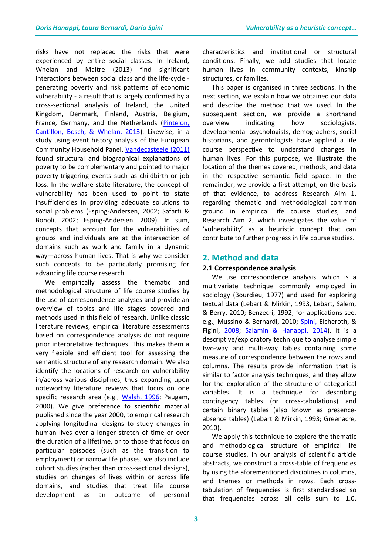risks have not replaced the risks that were experienced by entire social classes. In Ireland, Whelan and Maitre (2013) find significant interactions between social class and the life-cycle generating poverty and risk patterns of economic vulnerability - a result that is largely confirmed by a cross-sectional analysis of Ireland, the United Kingdom, Denmark, Finland, Austria, Belgium, France, Germany, and the Netherlands [\(Pintelon,](http://esp.sagepub.com/content/23/1/52.short)  [Cantillon, Bosch, & Whelan, 2013\)](http://esp.sagepub.com/content/23/1/52.short). Likewise, in a study using event history analysis of the European Community Household Panel, [Vandecasteele \(2011\)](http://esr.oxfordjournals.org/content/27/2/246.short) found structural and biographical explanations of poverty to be complementary and pointed to major poverty-triggering events such as childbirth or job loss. In the welfare state literature, the concept of vulnerability has been used to point to state insufficiencies in providing adequate solutions to social problems (Esping-Andersen, 2002; Safarti & Bonoli, 2002; Esping-Andersen, 2009). In sum, concepts that account for the vulnerabilities of groups and individuals are at the intersection of domains such as work and family in a dynamic way—across human lives. That is why we consider such concepts to be particularly promising for advancing life course research.

We empirically assess the thematic and methodological structure of life course studies by the use of correspondence analyses and provide an overview of topics and life stages covered and methods used in this field of research. Unlike classic literature reviews, empirical literature assessments based on correspondence analysis do not require prior interpretative techniques. This makes them a very flexible and efficient tool for assessing the semantic structure of any research domain. We also identify the locations of research on vulnerability in/across various disciplines, thus expanding upon noteworthy literature reviews that focus on one specific research area (e.g., [Walsh, 1996;](http://onlinelibrary.wiley.com/doi/10.1111/j.1545-5300.1996.00261.x/abstract) Paugam, 2000). We give preference to scientific material published since the year 2000, to empirical research applying longitudinal designs to study changes in human lives over a longer stretch of time or over the duration of a lifetime, or to those that focus on particular episodes (such as the transition to employment) or narrow life phases; we also include cohort studies (rather than cross-sectional designs), studies on changes of lives within or across life domains, and studies that treat life course development as an outcome of personal

characteristics and institutional or structural conditions. Finally, we add studies that locate human lives in community contexts, kinship structures, or families.

This paper is organised in three sections. In the next section, we explain how we obtained our data and describe the method that we used. In the subsequent section, we provide a shorthand overview indicating how sociologists, developmental psychologists, demographers, social historians, and gerontologists have applied a life course perspective to understand changes in human lives. For this purpose, we illustrate the location of the themes covered, methods, and data in the respective semantic field space. In the remainder, we provide a first attempt, on the basis of that evidence, to address Research Aim 1, regarding thematic and methodological common ground in empirical life course studies, and Research Aim 2, which investigates the value of 'vulnerability' as a heuristic concept that can contribute to further progress in life course studies.

## **2. Method and data**

### **2.1 Correspondence analysis**

We use correspondence analysis, which is a multivariate technique commonly employed in sociology (Bourdieu, 1977) and used for exploring textual data (Lebart & Mirkin, 1993, Lebart, Salem, & Berry, 2010; Benzecri, 1992; for applications see, e.g., Mussino & Bernardi, 2010; [Spini, Elcheroth, &](http://onlinelibrary.wiley.com/doi/10.1002/casp.991/abstract)  [Figini,](http://onlinelibrary.wiley.com/doi/10.1002/casp.991/abstract) 2008; [Salamin & Hanappi, 2014\)](http://dx.doi.org/10.1108/JGM-09-2013-0058). It is a descriptive/exploratory technique to analyse simple two-way and multi-way tables containing some measure of correspondence between the rows and columns. The results provide information that is similar to factor analysis techniques, and they allow for the exploration of the structure of categorical variables. It is a technique for describing contingency tables (or cross-tabulations) and certain binary tables (also known as presenceabsence tables) (Lebart & Mirkin, 1993; Greenacre, 2010).

We apply this technique to explore the thematic and methodological structure of empirical life course studies. In our analysis of scientific article abstracts, we construct a cross-table of frequencies by using the aforementioned disciplines in columns, and themes or methods in rows. Each crosstabulation of frequencies is first standardised so that frequencies across all cells sum to 1.0.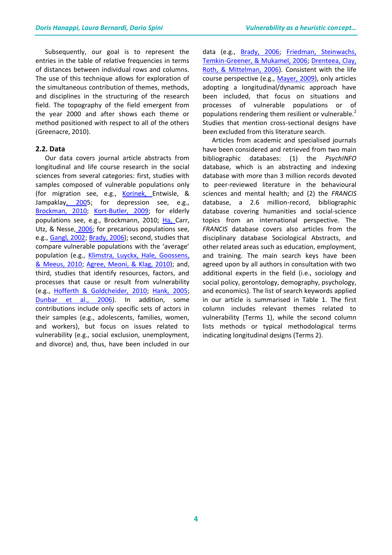Subsequently, our goal is to represent the entries in the table of relative frequencies in terms of distances between individual rows and columns. The use of this technique allows for exploration of the simultaneous contribution of themes, methods, and disciplines in the structuring of the research field. The topography of the field emergent from the year 2000 and after shows each theme or method positioned with respect to all of the others (Greenacre, 2010).

#### **2.2. Data**

Our data covers journal article abstracts from longitudinal and life course research in the social sciences from several categories: first, studies with samples composed of vulnerable populations only (for migration see, e.g., [Korinek, Entwisle, &](http://dx.doi.org/10.1177/000312240507000503)  [Jampaklay, 2005](http://dx.doi.org/10.1177/000312240507000503); for depression see, e.g., [Brockman, 2010;](http://dx.doi.org/10.1007/s11205-009-9560-4) [Kort-Butler, 2009;](http://dx.doi.org/10.1007/s10964-008-9291-x) for elderly populations see, e.g., Brockmann, 2010; [Ha, Carr,](http://dx.doi.org/10.1177/0192513X05277810)  [Utz, & Nesse,](http://dx.doi.org/10.1177/0192513X05277810) 2006; for precarious populations see, e.g., [Gangl, 2002;](http://dx.doi.org/10.1177/09500170222119254) [Brady, 2006\)](http://dx.doi.org/10.1016/j.rssm.2005.02.004); second, studies that compare vulnerable populations with the 'average' population (e.g., Klimstra, Luyckx, Hale, Goossens, [& Meeus, 2010;](http://dx.doi.org/10.1111/j.1467-6494.2010.00646.x) [Agree, Meoni, & Klag, 2010\)](http://dx.doi.org/10.1093/geronb/gbq064); and, third, studies that identify resources, factors, and processes that cause or result from vulnerability (e.g., [Hofferth & Goldcheider, 2010;](http://dx.doi.org/10.1111/j.1741-3729.2010.00617.x) [Hank, 2005;](http://dx.doi.org/10.1080/00324728.2010.506243) [Dunbar et al., 2006\)](http://dx.doi.org/10.1111/j.1545-5300.2006.00182.x). In addition, some contributions include only specific sets of actors in their samples (e.g., adolescents, families, women, and workers), but focus on issues related to vulnerability (e.g., social exclusion, unemployment, and divorce) and, thus, have been included in our

data (e.g., [Brady, 2006;](http://dx.doi.org/10.1016/j.rssm.2005.02.004) Friedman, Steinwachs, [Temkin-Greener, & Mukamel, 2006;](http://dx.doi.org/10.1093/geront/46.4.456) [Drenteea, Clay,](http://dx.doi.org/10.1016/j.socscimed.2006.02.020)  [Roth, & Mittelman, 2006\)](http://dx.doi.org/10.1016/j.socscimed.2006.02.020). Consistent with the life course perspective (e.g., [Mayer, 2009\)](http://www.annualreviews.org/doi/full/10.1146/annurev.soc.34.040507.134619), only articles adopting a longitudinal/dynamic approach have been included, that focus on situations and processes of vulnerable populations or of populations rendering them resilient or vulnerable.<sup>2</sup> Studies that mention cross-sectional designs have been excluded from this literature search.

Articles from academic and specialised journals have been considered and retrieved from two main bibliographic databases: (1) the *PsychINFO* database, which is an abstracting and indexing database with more than 3 million records devoted to peer-reviewed literature in the behavioural sciences and mental health; and (2) the *FRANCIS* database, a 2.6 million-record, bibliographic database covering humanities and social-science topics from an international perspective. The *FRANCIS* database covers also articles from the disciplinary database Sociological Abstracts, and other related areas such as education, employment, and training. The main search keys have been agreed upon by all authors in consultation with two additional experts in the field (i.e., sociology and social policy, gerontology, demography, psychology, and economics). The list of search keywords applied in our article is summarised in Table 1. The first column includes relevant themes related to vulnerability (Terms 1), while the second column lists methods or typical methodological terms indicating longitudinal designs (Terms 2).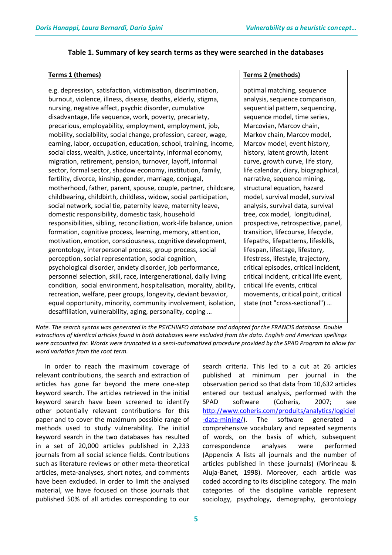| Terms 1 (themes)                                                    | Terms 2 (methods)                       |
|---------------------------------------------------------------------|-----------------------------------------|
| e.g. depression, satisfaction, victimisation, discrimination,       | optimal matching, sequence              |
| burnout, violence, illness, disease, deaths, elderly, stigma,       | analysis, sequence comparison,          |
| nursing, negative affect, psychic disorder, cumulative              | sequential pattern, sequencing,         |
| disadvantage, life sequence, work, poverty, precariety,             | sequence model, time series,            |
| precarious, employability, employment, employment, job,             | Marcovian, Marcov chain,                |
| mobility, socialbility, social change, profession, career, wage,    | Markov chain, Marcov model,             |
| earning, labor, occupation, education, school, training, income,    | Marcov model, event history,            |
| social class, wealth, justice, uncertainty, informal economy,       | history, latent growth, latent          |
| migration, retirement, pension, turnover, layoff, informal          | curve, growth curve, life story,        |
| sector, formal sector, shadow economy, institution, family,         | life calendar, diary, biographical,     |
| fertility, divorce, kinship, gender, marriage, conjugal,            | narrative, sequence mining,             |
| motherhood, father, parent, spouse, couple, partner, childcare,     | structural equation, hazard             |
| childbearing, childbirth, childless, widow, social participation,   | model, survival model, survival         |
| social network, social tie, paternity leave, maternity leave,       | analysis, survival data, survival       |
| domestic responsibility, domestic task, household                   | tree, cox model, longitudinal,          |
| responsibilities, sibling, reconciliation, work-life balance, union | prospective, retrospective, panel,      |
| formation, cognitive process, learning, memory, attention,          | transition, lifecourse, lifecycle,      |
| motivation, emotion, consciousness, cognitive development,          | lifepaths, lifepatterns, lifeskills,    |
| gerontology, interpersonal process, group process, social           | lifespan, lifestage, lifestory,         |
| perception, social representation, social cognition,                | lifestress, lifestyle, trajectory,      |
| psychological disorder, anxiety disorder, job performance,          | critical episodes, critical incident,   |
| personnel selection, skill, race, intergenerational, daily living   | critical incident, critical life event, |
| condition, social environment, hospitalisation, morality, ability,  | critical life events, critical          |
| recreation, welfare, peer groups, longevity, deviant bevavior,      | movements, critical point, critical     |
| equal opportunity, minority, community involvement, isolation,      | state (not "cross-sectional")           |
| desaffiliation, vulnerability, aging, personality, coping           |                                         |

### **Table 1. Summary of key search terms as they were searched in the databases**

*Note. The search syntax was generated in the PSYCHINFO database and adapted for the FRANCIS database. Double extractions of identical articles found in both databases were excluded from the data. English and American spellings were accounted for. Words were truncated in a semi-automatized procedure provided by the SPAD Program to allow for word variation from the root term.*

In order to reach the maximum coverage of relevant contributions, the search and extraction of articles has gone far beyond the mere one-step keyword search. The articles retrieved in the initial keyword search have been screened to identify other potentially relevant contributions for this paper and to cover the maximum possible range of methods used to study vulnerability. The initial keyword search in the two databases has resulted in a set of 20,000 articles published in 2,233 journals from all social science fields. Contributions such as literature reviews or other meta-theoretical articles, meta-analyses, short notes, and comments have been excluded. In order to limit the analysed material, we have focused on those journals that published 50% of all articles corresponding to our

search criteria. This led to a cut at 26 articles published at minimum per journal in the observation period so that data from 10,632 articles entered our textual analysis, performed with the SPAD software (Coheris, 2007; see [http://www.coheris.com/produits/analytics/logiciel](http://www.coheris.com/produits/analytics/logiciel-data-mining/) [-data-mining/\)](http://www.coheris.com/produits/analytics/logiciel-data-mining/). The software generated a comprehensive vocabulary and repeated segments of words, on the basis of which, subsequent correspondence analyses were performed (Appendix A lists all journals and the number of articles published in these journals) (Morineau & Aluja-Banet, 1998). Moreover, each article was coded according to its discipline category. The main categories of the discipline variable represent sociology, psychology, demography, gerontology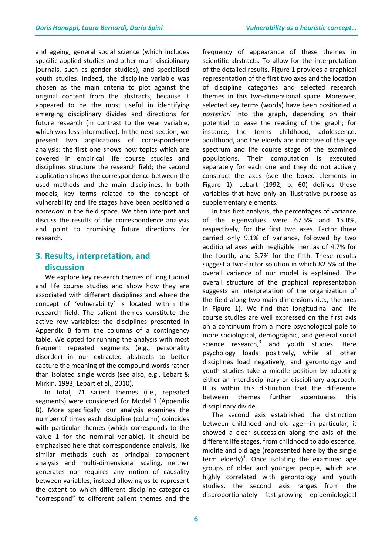and ageing, general social science (which includes specific applied studies and other multi-disciplinary journals, such as gender studies), and specialised youth studies. Indeed, the discipline variable was chosen as the main criteria to plot against the original content from the abstracts, because it appeared to be the most useful in identifying emerging disciplinary divides and directions for future research (in contrast to the year variable, which was less informative). In the next section, we present two applications of correspondence analysis: the first one shows how topics which are covered in empirical life course studies and disciplines structure the research field; the second application shows the correspondence between the used methods and the main disciplines. In both models, key terms related to the concept of vulnerability and life stages have been positioned *a posteriori* in the field space. We then interpret and discuss the results of the correspondence analysis and point to promising future directions for research.

## **3. Results, interpretation, and discussion**

We explore key research themes of longitudinal and life course studies and show how they are associated with different disciplines and where the concept of 'vulnerability' is located within the research field. The salient themes constitute the active row variables; the disciplines presented in Appendix B form the columns of a contingency table. We opted for running the analysis with most frequent repeated segments (e.g., personality disorder) in our extracted abstracts to better capture the meaning of the compound words rather than isolated single words (see also, e.g., Lebart & Mirkin, 1993; Lebart et al., 2010).

In total, 71 salient themes (i.e., repeated segments) were considered for Model 1 (Appendix B). More specifically, our analysis examines the number of times each discipline (column) coincides with particular themes (which corresponds to the value 1 for the nominal variable). It should be emphasised here that correspondence analysis, like similar methods such as principal component analysis and multi-dimensional scaling, neither generates nor requires any notion of causality between variables, instead allowing us to represent the extent to which different discipline categories "correspond" to different salient themes and the

frequency of appearance of these themes in scientific abstracts. To allow for the interpretation of the detailed results, Figure 1 provides a graphical representation of the first two axes and the location of discipline categories and selected research themes in this two-dimensional space. Moreover, selected key terms (words) have been positioned *a posteriori* into the graph, depending on their potential to ease the reading of the graph; for instance, the terms childhood, adolescence, adulthood, and the elderly are indicative of the age spectrum and life course stage of the examined populations. Their computation is executed separately for each one and they do not actively construct the axes (see the boxed elements in Figure 1). Lebart (1992, p. 60) defines those variables that have only an illustrative purpose as supplementary elements.

In this first analysis, the percentages of variance of the eigenvalues were 67.5% and 15.0%, respectively, for the first two axes. Factor three carried only 9.1% of variance, followed by two additional axes with negligible inertias of 4.7% for the fourth, and 3.7% for the fifth. These results suggest a two-factor solution in which 82.5% of the overall variance of our model is explained. The overall structure of the graphical representation suggests an interpretation of the organization of the field along two main dimensions (i.e., the axes in Figure 1). We find that longitudinal and life course studies are well expressed on the first axis on a continuum from a more psychological pole to more sociological, demographic, and general social science research, $3$  and youth studies. Here psychology loads positively, while all other disciplines load negatively, and gerontology and youth studies take a middle position by adopting either an interdisciplinary or disciplinary approach. It is within this distinction that the difference between themes further accentuates this disciplinary divide.

The second axis established the distinction between childhood and old age—in particular, it showed a clear succession along the axis of the different life stages, from childhood to adolescence, midlife and old age (represented here by the single term elderly)<sup>4</sup>. Once isolating the examined age groups of older and younger people, which are highly correlated with gerontology and youth studies, the second axis ranges from the disproportionately fast-growing epidemiological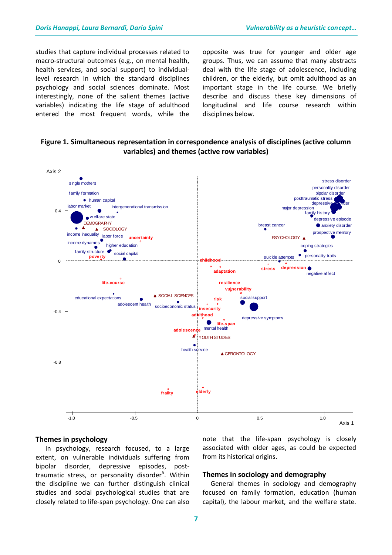studies that capture individual processes related to macro-structural outcomes (e.g., on mental health, health services, and social support) to individuallevel research in which the standard disciplines psychology and social sciences dominate. Most interestingly, none of the salient themes (active variables) indicating the life stage of adulthood entered the most frequent words, while the

opposite was true for younger and older age groups. Thus, we can assume that many abstracts deal with the life stage of adolescence, including children, or the elderly, but omit adulthood as an important stage in the life course. We briefly describe and discuss these key dimensions of longitudinal and life course research within disciplines below.

## **Figure 1. Simultaneous representation in correspondence analysis of disciplines (active column variables) and themes (active row variables)**



#### **Themes in psychology**

In psychology, research focused, to a large extent, on vulnerable individuals suffering from bipolar disorder, depressive episodes, posttraumatic stress, or personality disorder<sup>5</sup>. Within the discipline we can further distinguish clinical studies and social psychological studies that are closely related to life-span psychology. One can also

note that the life-span psychology is closely associated with older ages, as could be expected from its historical origins.

#### **Themes in sociology and demography**

 General themes in sociology and demography focused on family formation, education (human capital), the labour market, and the welfare state.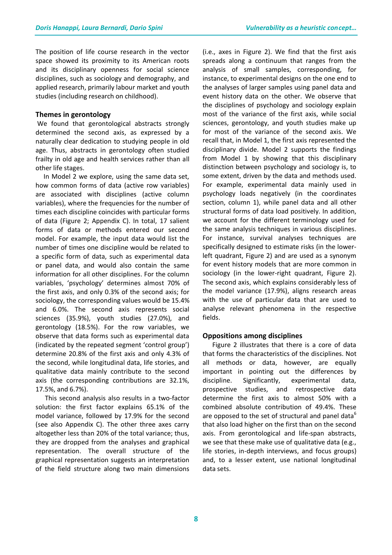The position of life course research in the vector space showed its proximity to its American roots and its disciplinary openness for social science disciplines, such as sociology and demography, and applied research, primarily labour market and youth studies (including research on childhood).

#### **Themes in gerontology**

We found that gerontological abstracts strongly determined the second axis, as expressed by a naturally clear dedication to studying people in old age. Thus, abstracts in gerontology often studied frailty in old age and health services rather than all other life stages.

 In Model 2 we explore, using the same data set, how common forms of data (active row variables) are associated with disciplines (active column variables), where the frequencies for the number of times each discipline coincides with particular forms of data (Figure 2; Appendix C). In total, 17 salient forms of data or methods entered our second model. For example, the input data would list the number of times one discipline would be related to a specific form of data, such as experimental data or panel data, and would also contain the same information for all other disciplines. For the column variables, 'psychology' determines almost 70% of the first axis, and only 0.3% of the second axis; for sociology, the corresponding values would be 15.4% and 6.0%. The second axis represents social sciences (35.9%), youth studies (27.0%), and gerontology (18.5%). For the row variables, we observe that data forms such as experimental data (indicated by the repeated segment 'control group') determine 20.8% of the first axis and only 4.3% of the second, while longitudinal data, life stories, and qualitative data mainly contribute to the second axis (the corresponding contributions are 32.1%, 17.5%, and 6.7%).

This second analysis also results in a two-factor solution: the first factor explains 65.1% of the model variance, followed by 17.9% for the second (see also Appendix C). The other three axes carry altogether less than 20% of the total variance; thus, they are dropped from the analyses and graphical representation. The overall structure of the graphical representation suggests an interpretation of the field structure along two main dimensions

(i.e., axes in Figure 2). We find that the first axis spreads along a continuum that ranges from the analysis of small samples, corresponding, for instance, to experimental designs on the one end to the analyses of larger samples using panel data and event history data on the other. We observe that the disciplines of psychology and sociology explain most of the variance of the first axis, while social sciences, gerontology, and youth studies make up for most of the variance of the second axis. We recall that, in Model 1, the first axis represented the disciplinary divide. Model 2 supports the findings from Model 1 by showing that this disciplinary distinction between psychology and sociology is, to some extent, driven by the data and methods used. For example, experimental data mainly used in psychology loads negatively (in the coordinates section, column 1), while panel data and all other structural forms of data load positively. In addition, we account for the different terminology used for the same analysis techniques in various disciplines. For instance, survival analyses techniques are specifically designed to estimate risks (in the lowerleft quadrant, Figure 2) and are used as a synonym for event history models that are more common in sociology (in the lower-right quadrant, Figure 2). The second axis, which explains considerably less of the model variance (17.9%), aligns research areas with the use of particular data that are used to analyse relevant phenomena in the respective fields.

#### **Oppositions among disciplines**

 Figure 2 illustrates that there is a core of data that forms the characteristics of the disciplines. Not all methods or data, however, are equally important in pointing out the differences by discipline. Significantly, experimental data, prospective studies, and retrospective data determine the first axis to almost 50% with a combined absolute contribution of 49.4%. These are opposed to the set of structural and panel data $<sup>6</sup>$ </sup> that also load higher on the first than on the second axis. From gerontological and life-span abstracts, we see that these make use of qualitative data (e.g., life stories, in-depth interviews, and focus groups) and, to a lesser extent, use national longitudinal data sets.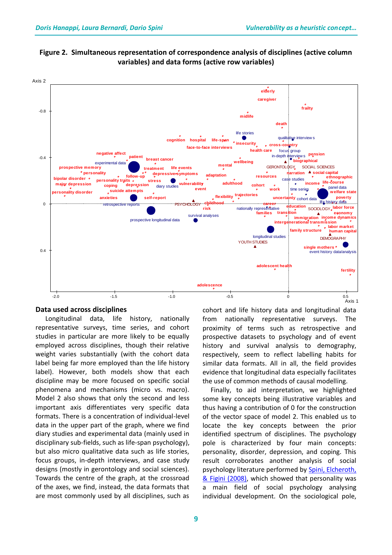

**Figure 2. Simultaneous representation of correspondence analysis of disciplines (active column variables) and data forms (active row variables)**

#### **Data used across disciplines**

 Longitudinal data, life history, nationally representative surveys, time series, and cohort studies in particular are more likely to be equally employed across disciplines, though their relative weight varies substantially (with the cohort data label being far more employed than the life history label). However, both models show that each discipline may be more focused on specific social phenomena and mechanisms (micro vs. macro). Model 2 also shows that only the second and less important axis differentiates very specific data formats. There is a concentration of individual-level data in the upper part of the graph, where we find diary studies and experimental data (mainly used in disciplinary sub-fields, such as life-span psychology), but also micro qualitative data such as life stories, focus groups, in-depth interviews, and case study designs (mostly in gerontology and social sciences). Towards the centre of the graph, at the crossroad of the axes, we find, instead, the data formats that are most commonly used by all disciplines, such as

cohort and life history data and longitudinal data from nationally representative surveys. The proximity of terms such as retrospective and prospective datasets to psychology and of event history and survival analysis to demography, respectively, seem to reflect labelling habits for similar data formats. All in all, the field provides evidence that longitudinal data especially facilitates the use of common methods of causal modelling.

 Finally, to aid interpretation, we highlighted some key concepts being illustrative variables and thus having a contribution of 0 for the construction of the vector space of model 2. This enabled us to locate the key concepts between the prior identified spectrum of disciplines. The psychology pole is characterized by four main concepts: personality, disorder, depression, and coping. This result corroborates another analysis of social psychology literature performed by [Spini, Elcheroth,](http://onlinelibrary.wiley.com/doi/10.1002/casp.991/abstract)  [& Figini \(2008\),](http://onlinelibrary.wiley.com/doi/10.1002/casp.991/abstract) which showed that personality was a main field of social psychology analysing individual development. On the sociological pole,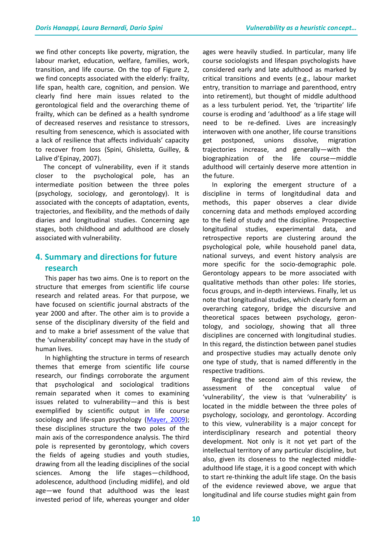we find other concepts like poverty, migration, the labour market, education, welfare, families, work, transition, and life course. On the top of Figure 2, we find concepts associated with the elderly: frailty, life span, health care, cognition, and pension. We clearly find here main issues related to the gerontological field and the overarching theme of frailty, which can be defined as a health syndrome of decreased reserves and resistance to stressors, resulting from senescence, which is associated with a lack of resilience that affects individuals' capacity to recover from loss (Spini, Ghisletta, Guilley, & Lalive d'Epinay, 2007).

 The concept of vulnerability, even if it stands closer to the psychological pole, has an intermediate position between the three poles (psychology, sociology, and gerontology). It is associated with the concepts of adaptation, events, trajectories, and flexibility, and the methods of daily diaries and longitudinal studies. Concerning age stages, both childhood and adulthood are closely associated with vulnerability.

## **4. Summary and directions for future research**

This paper has two aims. One is to report on the structure that emerges from scientific life course research and related areas. For that purpose, we have focused on scientific journal abstracts of the year 2000 and after. The other aim is to provide a sense of the disciplinary diversity of the field and and to make a brief assessment of the value that the 'vulnerability' concept may have in the study of human lives.

In highlighting the structure in terms of research themes that emerge from scientific life course research, our findings corroborate the argument that psychological and sociological traditions remain separated when it comes to examining issues related to vulnerability—and this is best exemplified by scientific output in life course sociology and life-span psychology [\(Mayer, 2009\)](http://www.annualreviews.org/doi/full/10.1146/annurev.soc.34.040507.134619); these disciplines structure the two poles of the main axis of the correspondence analysis. The third pole is represented by gerontology, which covers the fields of ageing studies and youth studies, drawing from all the leading disciplines of the social sciences. Among the life stages—childhood, adolescence, adulthood (including midlife), and old age—we found that adulthood was the least invested period of life, whereas younger and older

ages were heavily studied. In particular, many life course sociologists and lifespan psychologists have considered early and late adulthood as marked by critical transitions and events (e.g., labour market entry, transition to marriage and parenthood, entry into retirement), but thought of middle adulthood as a less turbulent period. Yet, the 'tripartite' life course is eroding and 'adulthood' as a life stage will need to be re-defined. Lives are increasingly interwoven with one another, life course transitions get postponed, unions dissolve, migration trajectories increase, and generally—with the biographization of the life course—middle adulthood will certainly deserve more attention in the future.

In exploring the emergent structure of a discipline in terms of longitdudinal data and methods, this paper observes a clear divide concerning data and methods employed according to the field of study and the discipline. Prospective longitudinal studies, experimental data, and retrospective reports are clustering around the psychological pole, while household panel data, national surveys, and event history analysis are more specific for the socio-demographic pole. Gerontology appears to be more associated with qualitative methods than other poles: life stories, focus groups, and in-depth interviews. Finally, let us note that longitudinal studies, which clearly form an overarching category, bridge the discursive and theoretical spaces between psychology, gerontology, and sociology, showing that all three disciplines are concerned with longitudinal studies. In this regard, the distinction between panel studies and prospective studies may actually denote only one type of study, that is named differently in the respective traditions.

Regarding the second aim of this review, the assessment of the conceptual value of 'vulnerability', the view is that 'vulnerability' is located in the middle between the three poles of psychology, sociology, and gerontology. According to this view, vulnerability is a major concept for interdisciplinary research and potential theory development. Not only is it not yet part of the intellectual territory of any particular discipline, but also, given its closeness to the neglected middleadulthood life stage, it is a good concept with which to start re-thinking the adult life stage. On the basis of the evidence reviewed above, we argue that longitudinal and life course studies might gain from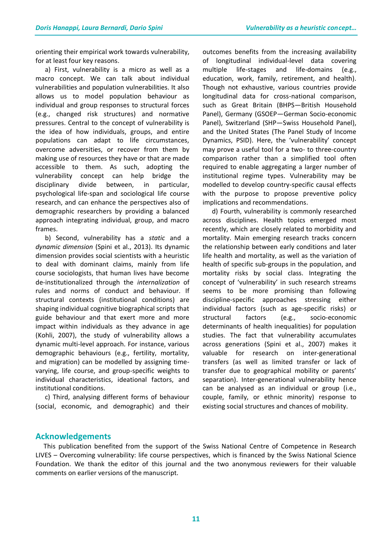orienting their empirical work towards vulnerability, for at least four key reasons.

a) First, vulnerability is a micro as well as a macro concept. We can talk about individual vulnerabilities and population vulnerabilities. It also allows us to model population behaviour as individual and group responses to structural forces (e.g., changed risk structures) and normative pressures. Central to the concept of vulnerability is the idea of how individuals, groups, and entire populations can adapt to life circumstances, overcome adversities, or recover from them by making use of resources they have or that are made accessible to them. As such, adopting the vulnerability concept can help bridge the disciplinary divide between, in particular, psychological life-span and sociological life course research, and can enhance the perspectives also of demographic researchers by providing a balanced approach integrating individual, group, and macro frames.

b) Second, vulnerability has a *static* and a *dynamic dimension* (Spini et al., 2013). Its dynamic dimension provides social scientists with a heuristic to deal with dominant claims, mainly from life course sociologists, that human lives have become de-institutionalized through the *internalization* of rules and norms of conduct and behaviour. If structural contexts (institutional conditions) are shaping individual cognitive biographical scripts that guide behaviour and that exert more and more impact within individuals as they advance in age (Kohli, 2007), the study of vulnerability allows a dynamic multi-level approach. For instance, various demographic behaviours (e.g., fertility, mortality, and migration) can be modelled by assigning timevarying, life course, and group-specific weights to individual characteristics, ideational factors, and institutional conditions.

c) Third, analysing different forms of behaviour (social, economic, and demographic) and their

outcomes benefits from the increasing availability of longitudinal individual-level data covering multiple life-stages and life-domains (e.g., education, work, family, retirement, and health). Though not exhaustive, various countries provide longitudinal data for cross-national comparison, such as Great Britain (BHPS—British Household Panel), Germany (GSOEP—German Socio-economic Panel), Switzerland (SHP—Swiss Household Panel), and the United States (The Panel Study of Income Dynamics, PSID). Here, the 'vulnerability' concept may prove a useful tool for a two- to three-country comparison rather than a simplified tool often required to enable aggregating a larger number of institutional regime types. Vulnerability may be modelled to develop country-specific causal effects with the purpose to propose preventive policy implications and recommendations.

d) Fourth, vulnerability is commonly researched across disciplines. Health topics emerged most recently, which are closely related to morbidity and mortality. Main emerging research tracks concern the relationship between early conditions and later life health and mortality, as well as the variation of health of specific sub-groups in the population, and mortality risks by social class. Integrating the concept of 'vulnerability' in such research streams seems to be more promising than following discipline-specific approaches stressing either individual factors (such as age-specific risks) or structural factors (e.g., socio-economic determinants of health inequalities) for population studies. The fact that vulnerability accumulates across generations (Spini et al., 2007) makes it valuable for research on inter-generational transfers (as well as limited transfer or lack of transfer due to geographical mobility or parents' separation). Inter-generational vulnerability hence can be analysed as an individual or group (i.e., couple, family, or ethnic minority) response to existing social structures and chances of mobility.

### **Acknowledgements**

 This publication benefited from the support of the Swiss National Centre of Competence in Research LIVES – Overcoming vulnerability: life course perspectives, which is financed by the Swiss National Science Foundation. We thank the editor of this journal and the two anonymous reviewers for their valuable comments on earlier versions of the manuscript.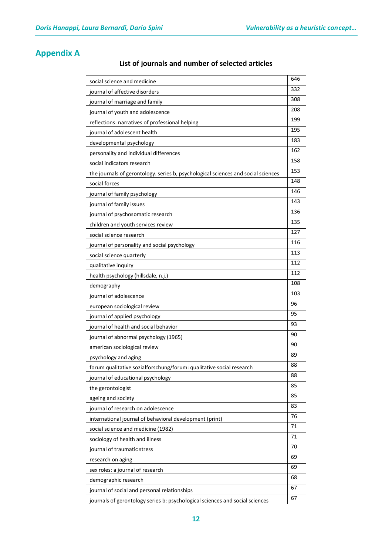## **Appendix A**

## **List of journals and number of selected articles**

| social science and medicine                                                       | 646 |
|-----------------------------------------------------------------------------------|-----|
| journal of affective disorders                                                    | 332 |
| journal of marriage and family                                                    | 308 |
| journal of youth and adolescence                                                  | 208 |
| reflections: narratives of professional helping                                   | 199 |
| journal of adolescent health                                                      | 195 |
| developmental psychology                                                          | 183 |
| personality and individual differences                                            | 162 |
| social indicators research                                                        | 158 |
| the journals of gerontology. series b, psychological sciences and social sciences | 153 |
| social forces                                                                     | 148 |
| journal of family psychology                                                      | 146 |
| journal of family issues                                                          | 143 |
| journal of psychosomatic research                                                 | 136 |
| children and youth services review                                                | 135 |
| social science research                                                           | 127 |
| journal of personality and social psychology                                      | 116 |
| social science quarterly                                                          | 113 |
| qualitative inquiry                                                               | 112 |
| health psychology (hillsdale, n.j.)                                               | 112 |
| demography                                                                        | 108 |
| journal of adolescence                                                            | 103 |
| european sociological review                                                      | 96  |
| journal of applied psychology                                                     | 95  |
| journal of health and social behavior                                             | 93  |
| journal of abnormal psychology (1965)                                             | 90  |
| american sociological review                                                      | 90  |
| psychology and aging                                                              | 89  |
| forum qualitative sozialforschung/forum: qualitative social research              | 88  |
| journal of educational psychology                                                 | 88  |
| the gerontologist                                                                 | 85  |
| ageing and society                                                                | 85  |
| journal of research on adolescence                                                | 83  |
| international journal of behavioral development (print)                           | 76  |
| social science and medicine (1982)                                                | 71  |
| sociology of health and illness                                                   | 71  |
| journal of traumatic stress                                                       | 70  |
| research on aging                                                                 | 69  |
| sex roles: a journal of research                                                  | 69  |
| demographic research                                                              | 68  |
| journal of social and personal relationships                                      | 67  |
| journals of gerontology series b: psychological sciences and social sciences      | 67  |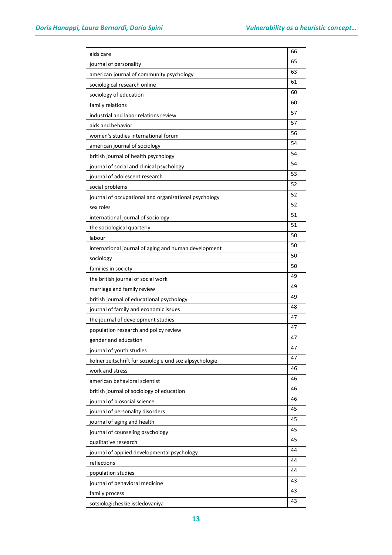| aids care                                               | 66 |
|---------------------------------------------------------|----|
| journal of personality                                  | 65 |
| american journal of community psychology                | 63 |
| sociological research online                            | 61 |
| sociology of education                                  | 60 |
| family relations                                        | 60 |
| industrial and labor relations review                   | 57 |
| aids and behavior                                       | 57 |
| women's studies international forum                     | 56 |
| american journal of sociology                           | 54 |
| british journal of health psychology                    | 54 |
| journal of social and clinical psychology               | 54 |
| journal of adolescent research                          | 53 |
| social problems                                         | 52 |
| journal of occupational and organizational psychology   | 52 |
| sex roles                                               | 52 |
| international journal of sociology                      | 51 |
| the sociological quarterly                              | 51 |
| labour                                                  | 50 |
| international journal of aging and human development    | 50 |
| sociology                                               | 50 |
| families in society                                     | 50 |
| the british journal of social work                      | 49 |
| marriage and family review                              | 49 |
| british journal of educational psychology               | 49 |
| journal of family and economic issues                   | 48 |
| the journal of development studies                      | 47 |
| population research and policy review                   | 47 |
| gender and education                                    | 47 |
| journal of youth studies                                | 47 |
| kolner zeitschrift fur soziologie und sozialpsychologie | 47 |
| work and stress                                         | 46 |
| american behavioral scientist                           | 46 |
| british journal of sociology of education               | 46 |
| journal of biosocial science                            | 46 |
| journal of personality disorders                        | 45 |
| journal of aging and health                             | 45 |
| journal of counseling psychology                        | 45 |
| qualitative research                                    | 45 |
| journal of applied developmental psychology             | 44 |
| reflections                                             | 44 |
| population studies                                      | 44 |
| journal of behavioral medicine                          | 43 |
| family process                                          | 43 |
| sotsiologicheskie issledovaniya                         | 43 |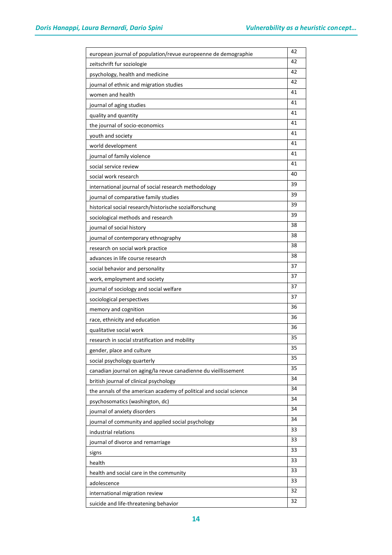| european journal of population/revue europeenne de demographie     | 42 |
|--------------------------------------------------------------------|----|
| zeitschrift fur soziologie                                         | 42 |
| psychology, health and medicine                                    | 42 |
| journal of ethnic and migration studies                            | 42 |
| women and health                                                   | 41 |
| journal of aging studies                                           | 41 |
| quality and quantity                                               | 41 |
| the journal of socio-economics                                     | 41 |
| youth and society                                                  | 41 |
| world development                                                  | 41 |
| journal of family violence                                         | 41 |
| social service review                                              | 41 |
| social work research                                               | 40 |
| international journal of social research methodology               | 39 |
| journal of comparative family studies                              | 39 |
| historical social research/historische sozialforschung             | 39 |
| sociological methods and research                                  | 39 |
| journal of social history                                          | 38 |
| journal of contemporary ethnography                                | 38 |
| research on social work practice                                   | 38 |
| advances in life course research                                   | 38 |
| social behavior and personality                                    | 37 |
| work, employment and society                                       | 37 |
| journal of sociology and social welfare                            | 37 |
| sociological perspectives                                          | 37 |
| memory and cognition                                               | 36 |
| race, ethnicity and education                                      | 36 |
| qualitative social work                                            | 36 |
| research in social stratification and mobility                     | 35 |
| gender, place and culture                                          | 35 |
| social psychology quarterly                                        | 35 |
| canadian journal on aging/la revue canadienne du vieillissement    | 35 |
| british journal of clinical psychology                             | 34 |
| the annals of the american academy of political and social science | 34 |
| psychosomatics (washington, dc)                                    | 34 |
| journal of anxiety disorders                                       | 34 |
| journal of community and applied social psychology                 | 34 |
| industrial relations                                               | 33 |
| journal of divorce and remarriage                                  | 33 |
| signs                                                              | 33 |
| health                                                             | 33 |
| health and social care in the community                            | 33 |
| adolescence                                                        | 33 |
| international migration review                                     | 32 |
| suicide and life-threatening behavior                              | 32 |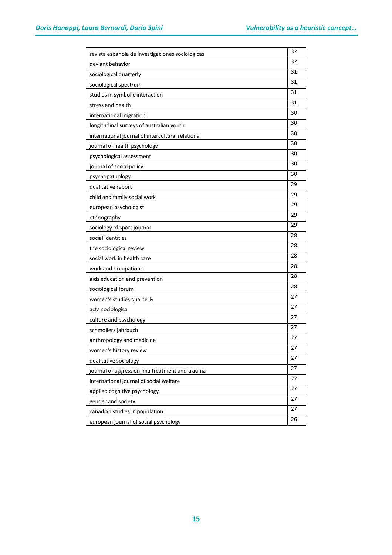| revista espanola de investigaciones sociologicas | 32 |
|--------------------------------------------------|----|
| deviant behavior                                 | 32 |
| sociological quarterly                           | 31 |
| sociological spectrum                            | 31 |
| studies in symbolic interaction                  | 31 |
| stress and health                                | 31 |
| international migration                          | 30 |
| longitudinal surveys of australian youth         | 30 |
| international journal of intercultural relations | 30 |
| journal of health psychology                     | 30 |
| psychological assessment                         | 30 |
| journal of social policy                         | 30 |
| psychopathology                                  | 30 |
| qualitative report                               | 29 |
| child and family social work                     | 29 |
| european psychologist                            | 29 |
| ethnography                                      | 29 |
| sociology of sport journal                       | 29 |
| social identities                                | 28 |
| the sociological review                          | 28 |
| social work in health care                       | 28 |
| work and occupations                             | 28 |
| aids education and prevention                    | 28 |
| sociological forum                               | 28 |
| women's studies quarterly                        | 27 |
| acta sociologica                                 | 27 |
| culture and psychology                           | 27 |
| schmollers jahrbuch                              | 27 |
| anthropology and medicine                        | 27 |
| women's history review                           | 27 |
| qualitative sociology                            | 27 |
| journal of aggression, maltreatment and trauma   | 27 |
| international journal of social welfare          | 27 |
| applied cognitive psychology                     | 27 |
| gender and society                               | 27 |
| canadian studies in population                   | 27 |
| european journal of social psychology            | 26 |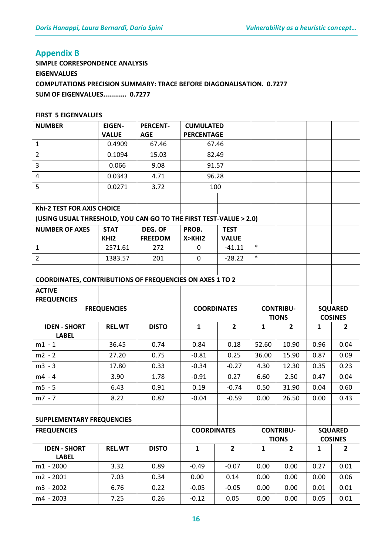## **Appendix B**

**SIMPLE CORRESPONDENCE ANALYSIS EIGENVALUES COMPUTATIONS PRECISION SUMMARY: TRACE BEFORE DIAGONALISATION. 0.7277 SUM OF EIGENVALUES............ 0.7277** 

#### **FIRST 5 EIGENVALUES**

| <b>NUMBER</b>                                                     | <b>EIGEN-</b><br><b>VALUE</b>   | <b>PERCENT-</b><br><b>AGE</b> | <b>CUMULATED</b><br><b>PERCENTAGE</b> |                             |                                  |                                  |                                  |                                  |
|-------------------------------------------------------------------|---------------------------------|-------------------------------|---------------------------------------|-----------------------------|----------------------------------|----------------------------------|----------------------------------|----------------------------------|
| $\mathbf{1}$                                                      | 0.4909                          | 67.46                         |                                       | 67.46                       |                                  |                                  |                                  |                                  |
| $\overline{2}$                                                    | 0.1094                          | 15.03                         | 82.49                                 |                             |                                  |                                  |                                  |                                  |
| 3                                                                 | 0.066                           | 9.08                          |                                       | 91.57                       |                                  |                                  |                                  |                                  |
| 4                                                                 | 0.0343                          | 4.71                          |                                       | 96.28                       |                                  |                                  |                                  |                                  |
| 5                                                                 | 0.0271                          | 3.72                          |                                       | 100                         |                                  |                                  |                                  |                                  |
|                                                                   |                                 |                               |                                       |                             |                                  |                                  |                                  |                                  |
| Khi-2 TEST FOR AXIS CHOICE                                        |                                 |                               |                                       |                             |                                  |                                  |                                  |                                  |
| (USING USUAL THRESHOLD, YOU CAN GO TO THE FIRST TEST-VALUE > 2.0) |                                 |                               |                                       |                             |                                  |                                  |                                  |                                  |
| <b>NUMBER OF AXES</b>                                             | <b>STAT</b><br>KHI <sub>2</sub> | DEG. OF<br><b>FREEDOM</b>     | PROB.<br>X > KH12                     | <b>TEST</b><br><b>VALUE</b> |                                  |                                  |                                  |                                  |
| 1                                                                 | 2571.61                         | 272                           | 0                                     | $-41.11$                    | $\ast$                           |                                  |                                  |                                  |
| $\overline{2}$                                                    | 1383.57                         | 201                           | 0                                     | $-28.22$                    | $\ast$                           |                                  |                                  |                                  |
|                                                                   |                                 |                               |                                       |                             |                                  |                                  |                                  |                                  |
| <b>COORDINATES, CONTRIBUTIONS OF FREQUENCIES ON AXES 1 TO 2</b>   |                                 |                               |                                       |                             |                                  |                                  |                                  |                                  |
| <b>ACTIVE</b><br><b>FREQUENCIES</b>                               |                                 |                               |                                       |                             |                                  |                                  |                                  |                                  |
|                                                                   | <b>FREQUENCIES</b>              |                               | <b>COORDINATES</b>                    |                             | <b>CONTRIBU-</b><br><b>TIONS</b> |                                  | <b>SQUARED</b><br><b>COSINES</b> |                                  |
| <b>IDEN - SHORT</b>                                               | <b>REL.WT</b>                   | <b>DISTO</b>                  | $\mathbf{1}$                          | $\overline{2}$              | $\mathbf{1}$                     | $\overline{2}$                   | $\mathbf{1}$                     | $\overline{2}$                   |
| <b>LABEL</b>                                                      |                                 |                               |                                       |                             |                                  |                                  |                                  |                                  |
| $m1 - 1$                                                          |                                 |                               | 0.84                                  |                             | 52.60                            | 10.90                            |                                  | 0.04                             |
|                                                                   | 36.45                           | 0.74                          |                                       | 0.18                        |                                  |                                  | 0.96                             |                                  |
| $m2 - 2$                                                          | 27.20                           | 0.75                          | $-0.81$                               | 0.25                        | 36.00                            | 15.90                            | 0.87                             | 0.09                             |
| $m3 - 3$                                                          | 17.80                           | 0.33                          | $-0.34$                               | $-0.27$                     | 4.30                             | 12.30                            | 0.35                             | 0.23                             |
| $m4 - 4$                                                          | 3.90                            | 1.78                          | $-0.91$                               | 0.27                        | 6.60                             | 2.50                             | 0.47                             | 0.04                             |
| $m5 - 5$                                                          | 6.43                            | 0.91                          | 0.19                                  | $-0.74$                     | 0.50                             | 31.90                            | 0.04                             | 0.60                             |
| $m7 - 7$                                                          | 8.22                            | 0.82                          | $-0.04$                               | $-0.59$                     | 0.00                             | 26.50                            | 0.00                             | 0.43                             |
|                                                                   |                                 |                               |                                       |                             |                                  |                                  |                                  |                                  |
| <b>SUPPLEMENTARY FREQUENCIES</b>                                  |                                 |                               |                                       |                             |                                  |                                  |                                  |                                  |
| <b>FREQUENCIES</b>                                                |                                 |                               | <b>COORDINATES</b>                    |                             |                                  | <b>CONTRIBU-</b><br><b>TIONS</b> |                                  | <b>SQUARED</b><br><b>COSINES</b> |
| <b>IDEN - SHORT</b>                                               | <b>REL.WT</b>                   | <b>DISTO</b>                  | $\mathbf{1}$                          | $\mathbf{2}$                | $\mathbf{1}$                     | $\overline{2}$                   | $\mathbf{1}$                     | $\overline{2}$                   |
| <b>LABEL</b>                                                      |                                 |                               |                                       |                             |                                  |                                  |                                  |                                  |
| $m1 - 2000$                                                       | 3.32                            | 0.89                          | $-0.49$                               | $-0.07$                     | 0.00                             | 0.00                             | 0.27                             | 0.01                             |
| m2 - 2001                                                         | 7.03                            | 0.34                          | 0.00                                  | 0.14                        | 0.00                             | 0.00                             | 0.00                             | 0.06                             |
| m3 - 2002<br>m4 - 2003                                            | 6.76<br>7.25                    | 0.22<br>0.26                  | $-0.05$<br>$-0.12$                    | $-0.05$<br>0.05             | 0.00<br>0.00                     | 0.00<br>0.00                     | 0.01<br>0.05                     | 0.01<br>0.01                     |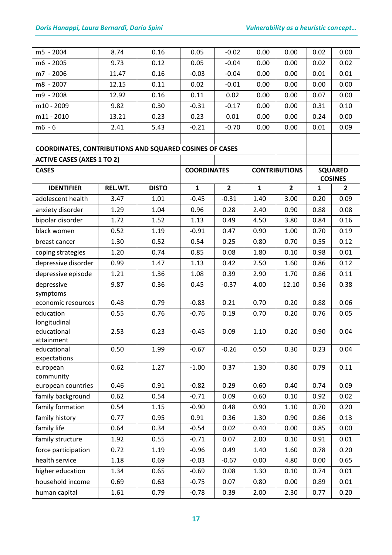| m5 - 2004                                                      | 8.74    | 0.16         | 0.05               | $-0.02$        | 0.00         | 0.00                 | 0.02         | 0.00           |
|----------------------------------------------------------------|---------|--------------|--------------------|----------------|--------------|----------------------|--------------|----------------|
| m6 - 2005                                                      | 9.73    | 0.12         | 0.05               | $-0.04$        | 0.00         | 0.00                 | 0.02         | 0.02           |
| m7 - 2006                                                      | 11.47   | 0.16         | $-0.03$            | $-0.04$        | 0.00         | 0.00                 | 0.01         | 0.01           |
| m8 - 2007                                                      | 12.15   | 0.11         | 0.02               | $-0.01$        | 0.00         | 0.00                 | 0.00         | 0.00           |
| m9 - 2008                                                      | 12.92   | 0.16         | 0.11               | 0.02           | 0.00         | 0.00                 | 0.07         | 0.00           |
| m10 - 2009                                                     | 9.82    | 0.30         | $-0.31$            | $-0.17$        | 0.00         | 0.00                 | 0.31         | 0.10           |
| m11 - 2010                                                     | 13.21   | 0.23         | 0.23               | 0.01           | 0.00         | 0.00                 | 0.24         | 0.00           |
| $m6 - 6$                                                       | 2.41    | 5.43         | $-0.21$            | $-0.70$        | 0.00         | 0.00                 | 0.01         | 0.09           |
|                                                                |         |              |                    |                |              |                      |              |                |
| <b>COORDINATES, CONTRIBUTIONS AND SQUARED COSINES OF CASES</b> |         |              |                    |                |              |                      |              |                |
| <b>ACTIVE CASES (AXES 1 TO 2)</b>                              |         |              |                    |                |              |                      |              |                |
| <b>CASES</b>                                                   |         |              | <b>COORDINATES</b> |                |              | <b>CONTRIBUTIONS</b> |              | <b>SQUARED</b> |
|                                                                |         |              |                    |                |              |                      |              | <b>COSINES</b> |
| <b>IDENTIFIER</b>                                              | REL.WT. | <b>DISTO</b> | $\mathbf{1}$       | $\overline{2}$ | $\mathbf{1}$ | $\overline{2}$       | $\mathbf{1}$ | $\overline{2}$ |
| adolescent health                                              | 3.47    | 1.01         | $-0.45$            | $-0.31$        | 1.40         | 3.00                 | 0.20         | 0.09           |
| anxiety disorder                                               | 1.29    | 1.04         | 0.96               | 0.28           | 2.40         | 0.90                 | 0.88         | 0.08           |
| bipolar disorder                                               | 1.72    | 1.52         | 1.13               | 0.49           | 4.50         | 3.80                 | 0.84         | 0.16           |
| black women                                                    | 0.52    | 1.19         | $-0.91$            | 0.47           | 0.90         | 1.00                 | 0.70         | 0.19           |
| breast cancer                                                  | 1.30    | 0.52         | 0.54               | 0.25           | 0.80         | 0.70                 | 0.55         | 0.12           |
| coping strategies                                              | 1.20    | 0.74         | 0.85               | 0.08           | 1.80         | 0.10                 | 0.98         | 0.01           |
| depressive disorder                                            | 0.99    | 1.47         | 1.13               | 0.42           | 2.50         | 1.60                 | 0.86         | 0.12           |
| depressive episode                                             | 1.21    | 1.36         | 1.08               | 0.39           | 2.90         | 1.70                 | 0.86         | 0.11           |
| depressive                                                     | 9.87    | 0.36         | 0.45               | $-0.37$        | 4.00         | 12.10                | 0.56         | 0.38           |
| symptoms                                                       |         |              |                    |                |              |                      |              |                |
| economic resources                                             | 0.48    | 0.79         | $-0.83$            | 0.21           | 0.70         | 0.20                 | 0.88         | 0.06           |
| education                                                      | 0.55    | 0.76         | $-0.76$            | 0.19           | 0.70         | 0.20                 | 0.76         | 0.05           |
| longitudinal<br>educational                                    | 2.53    | 0.23         | $-0.45$            | 0.09           | 1.10         | 0.20                 | 0.90         | 0.04           |
| attainment                                                     |         |              |                    |                |              |                      |              |                |
| educational                                                    | 0.50    | 1.99         | $-0.67$            | $-0.26$        | 0.50         | 0.30                 | 0.23         | 0.04           |
| expectations                                                   |         |              |                    |                |              |                      |              |                |
| european                                                       | 0.62    | 1.27         | $-1.00$            | 0.37           | 1.30         | 0.80                 | 0.79         | 0.11           |
| community                                                      |         |              |                    |                |              |                      |              |                |
| european countries                                             | 0.46    | 0.91         | $-0.82$            | 0.29           | 0.60         | 0.40                 | 0.74         | 0.09           |
| family background                                              | 0.62    | 0.54         | $-0.71$            | 0.09           | 0.60         | 0.10                 | 0.92         | 0.02           |
| family formation                                               | 0.54    | 1.15         | $-0.90$            | 0.48           | 0.90         | 1.10                 | 0.70         | 0.20           |
| family history                                                 | 0.77    | 0.95         | 0.91               | 0.36           | 1.30         | 0.90                 | 0.86         | 0.13           |
| family life                                                    | 0.64    | 0.34         | $-0.54$            | 0.02           | 0.40         | 0.00                 | 0.85         | 0.00           |
| family structure                                               | 1.92    | 0.55         | $-0.71$            | 0.07           | 2.00         | 0.10                 | 0.91         | 0.01           |
| force participation                                            | 0.72    | 1.19         | $-0.96$            | 0.49           | 1.40         | 1.60                 | 0.78         | 0.20           |
| health service                                                 | 1.18    | 0.69         | $-0.03$            | $-0.67$        | 0.00         | 4.80                 | 0.00         | 0.65           |
| higher education                                               | 1.34    | 0.65         | $-0.69$            | 0.08           | 1.30         | 0.10                 | 0.74         | 0.01           |
| household income                                               | 0.69    | 0.63         | $-0.75$            | 0.07           | 0.80         | 0.00                 | 0.89         | 0.01           |
| human capital                                                  | 1.61    | 0.79         | $-0.78$            | 0.39           | 2.00         | 2.30                 | 0.77         | 0.20           |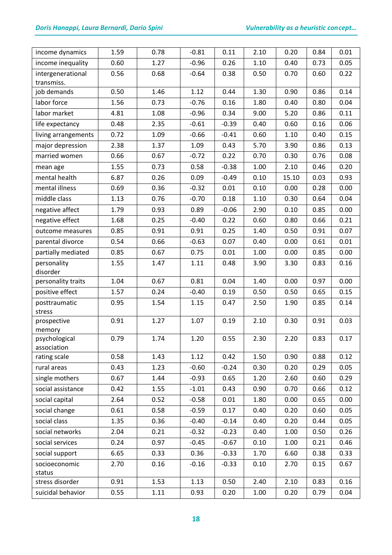| income dynamics             | 1.59 | 0.78 | $-0.81$ | 0.11    | 2.10 | 0.20  | 0.84 | 0.01 |
|-----------------------------|------|------|---------|---------|------|-------|------|------|
| income inequality           | 0.60 | 1.27 | $-0.96$ | 0.26    | 1.10 | 0.40  | 0.73 | 0.05 |
| intergenerational           | 0.56 | 0.68 | $-0.64$ | 0.38    | 0.50 | 0.70  | 0.60 | 0.22 |
| transmiss.                  |      |      |         |         |      |       |      |      |
| job demands                 | 0.50 | 1.46 | 1.12    | 0.44    | 1.30 | 0.90  | 0.86 | 0.14 |
| labor force                 | 1.56 | 0.73 | $-0.76$ | 0.16    | 1.80 | 0.40  | 0.80 | 0.04 |
| labor market                | 4.81 | 1.08 | $-0.96$ | 0.34    | 9.00 | 5.20  | 0.86 | 0.11 |
| life expectancy             | 0.48 | 2.35 | $-0.61$ | $-0.39$ | 0.40 | 0.60  | 0.16 | 0.06 |
| living arrangements         | 0.72 | 1.09 | $-0.66$ | $-0.41$ | 0.60 | 1.10  | 0.40 | 0.15 |
| major depression            | 2.38 | 1.37 | 1.09    | 0.43    | 5.70 | 3.90  | 0.86 | 0.13 |
| married women               | 0.66 | 0.67 | $-0.72$ | 0.22    | 0.70 | 0.30  | 0.76 | 0.08 |
| mean age                    | 1.55 | 0.73 | 0.58    | $-0.38$ | 1.00 | 2.10  | 0.46 | 0.20 |
| mental health               | 6.87 | 0.26 | 0.09    | $-0.49$ | 0.10 | 15.10 | 0.03 | 0.93 |
| mental illness              | 0.69 | 0.36 | $-0.32$ | 0.01    | 0.10 | 0.00  | 0.28 | 0.00 |
| middle class                | 1.13 | 0.76 | $-0.70$ | 0.18    | 1.10 | 0.30  | 0.64 | 0.04 |
| negative affect             | 1.79 | 0.93 | 0.89    | $-0.06$ | 2.90 | 0.10  | 0.85 | 0.00 |
| negative effect             | 1.68 | 0.25 | $-0.40$ | 0.22    | 0.60 | 0.80  | 0.66 | 0.21 |
| outcome measures            | 0.85 | 0.91 | 0.91    | 0.25    | 1.40 | 0.50  | 0.91 | 0.07 |
| parental divorce            | 0.54 | 0.66 | $-0.63$ | 0.07    | 0.40 | 0.00  | 0.61 | 0.01 |
| partially mediated          | 0.85 | 0.67 | 0.75    | 0.01    | 1.00 | 0.00  | 0.85 | 0.00 |
| personality                 | 1.55 | 1.47 | 1.11    | 0.48    | 3.90 | 3.30  | 0.83 | 0.16 |
| disorder                    |      |      |         |         |      |       |      |      |
| personality traits          | 1.04 | 0.67 | 0.81    | 0.04    | 1.40 | 0.00  | 0.97 | 0.00 |
| positive effect             | 1.57 | 0.24 | $-0.40$ | 0.19    | 0.50 | 0.50  | 0.65 | 0.15 |
| posttraumatic<br>stress     | 0.95 | 1.54 | 1.15    | 0.47    | 2.50 | 1.90  | 0.85 | 0.14 |
| prospective<br>memory       | 0.91 | 1.27 | 1.07    | 0.19    | 2.10 | 0.30  | 0.91 | 0.03 |
| psychological               | 0.79 | 1.74 | 1.20    | 0.55    | 2.30 | 2.20  | 0.83 | 0.17 |
| association<br>rating scale | 0.58 | 1.43 | 1.12    | 0.42    | 1.50 | 0.90  | 0.88 | 0.12 |
| rural areas                 | 0.43 | 1.23 | $-0.60$ | $-0.24$ | 0.30 | 0.20  | 0.29 | 0.05 |
| single mothers              | 0.67 | 1.44 | $-0.93$ | 0.65    | 1.20 | 2.60  | 0.60 | 0.29 |
| social assistance           | 0.42 | 1.55 | $-1.01$ | 0.43    | 0.90 | 0.70  | 0.66 | 0.12 |
| social capital              | 2.64 | 0.52 | $-0.58$ | 0.01    | 1.80 | 0.00  | 0.65 | 0.00 |
| social change               | 0.61 | 0.58 | $-0.59$ | 0.17    | 0.40 | 0.20  | 0.60 | 0.05 |
| social class                | 1.35 | 0.36 | $-0.40$ | $-0.14$ | 0.40 | 0.20  | 0.44 | 0.05 |
| social networks             | 2.04 | 0.21 | $-0.32$ | $-0.23$ | 0.40 | 1.00  | 0.50 | 0.26 |
| social services             | 0.24 | 0.97 | $-0.45$ | $-0.67$ | 0.10 | 1.00  | 0.21 | 0.46 |
|                             |      |      | 0.36    |         |      |       |      |      |
| social support              | 6.65 | 0.33 |         | $-0.33$ | 1.70 | 6.60  | 0.38 | 0.33 |
| socioeconomic<br>status     | 2.70 | 0.16 | $-0.16$ | $-0.33$ | 0.10 | 2.70  | 0.15 | 0.67 |
| stress disorder             | 0.91 | 1.53 | 1.13    | 0.50    | 2.40 | 2.10  | 0.83 | 0.16 |
| suicidal behavior           | 0.55 | 1.11 | 0.93    | 0.20    | 1.00 | 0.20  | 0.79 | 0.04 |
|                             |      |      |         |         |      |       |      |      |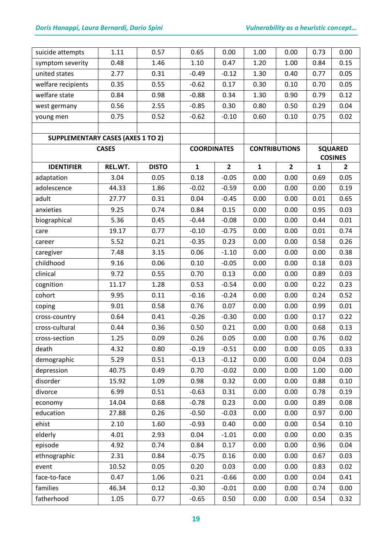| suicide attempts                         | 1.11         | 0.57         | 0.65               | 0.00           | 1.00                 | 0.00           | 0.73         | 0.00           |
|------------------------------------------|--------------|--------------|--------------------|----------------|----------------------|----------------|--------------|----------------|
| symptom severity                         | 0.48         | 1.46         | 1.10               | 0.47           | 1.20                 | 1.00           | 0.84         | 0.15           |
| united states                            | 2.77         | 0.31         | $-0.49$            | $-0.12$        | 1.30                 | 0.40           | 0.77         | 0.05           |
| welfare recipients                       | 0.35         | 0.55         | $-0.62$            | 0.17           | 0.30                 | 0.10           | 0.70         | 0.05           |
| welfare state                            | 0.84         | 0.98         | $-0.88$            | 0.34           | 1.30                 | 0.90           | 0.79         | 0.12           |
| west germany                             | 0.56         | 2.55         | $-0.85$            | 0.30           | 0.80                 | 0.50           | 0.29         | 0.04           |
| young men                                | 0.75         | 0.52         | $-0.62$            | $-0.10$        | 0.60                 | 0.10           | 0.75         | 0.02           |
|                                          |              |              |                    |                |                      |                |              |                |
| <b>SUPPLEMENTARY CASES (AXES 1 TO 2)</b> |              |              |                    |                |                      |                |              |                |
|                                          | <b>CASES</b> |              | <b>COORDINATES</b> |                | <b>CONTRIBUTIONS</b> |                |              | <b>SQUARED</b> |
|                                          |              |              |                    |                |                      |                |              | <b>COSINES</b> |
| <b>IDENTIFIER</b>                        | REL.WT.      | <b>DISTO</b> | $\mathbf{1}$       | $\overline{2}$ | $\mathbf{1}$         | $\overline{2}$ | $\mathbf{1}$ | $\overline{2}$ |
| adaptation                               | 3.04         | 0.05         | 0.18               | $-0.05$        | 0.00                 | 0.00           | 0.69         | 0.05           |
| adolescence                              | 44.33        | 1.86         | $-0.02$            | $-0.59$        | 0.00                 | 0.00           | 0.00         | 0.19           |
| adult                                    | 27.77        | 0.31         | 0.04               | $-0.45$        | 0.00                 | 0.00           | 0.01         | 0.65           |
| anxieties                                | 9.25         | 0.74         | 0.84               | 0.15           | 0.00                 | 0.00           | 0.95         | 0.03           |
| biographical                             | 5.36         | 0.45         | $-0.44$            | $-0.08$        | 0.00                 | 0.00           | 0.44         | 0.01           |
| care                                     | 19.17        | 0.77         | $-0.10$            | $-0.75$        | 0.00                 | 0.00           | 0.01         | 0.74           |
| career                                   | 5.52         | 0.21         | $-0.35$            | 0.23           | 0.00                 | 0.00           | 0.58         | 0.26           |
| caregiver                                | 7.48         | 3.15         | 0.06               | $-1.10$        | 0.00                 | 0.00           | 0.00         | 0.38           |
| childhood                                | 9.16         | 0.06         | 0.10               | $-0.05$        | 0.00                 | 0.00           | 0.18         | 0.03           |
| clinical                                 | 9.72         | 0.55         | 0.70               | 0.13           | 0.00                 | 0.00           | 0.89         | 0.03           |
| cognition                                | 11.17        | 1.28         | 0.53               | $-0.54$        | 0.00                 | 0.00           | 0.22         | 0.23           |
| cohort                                   | 9.95         | 0.11         | $-0.16$            | $-0.24$        | 0.00                 | 0.00           | 0.24         | 0.52           |
| coping                                   | 9.01         | 0.58         | 0.76               | 0.07           | 0.00                 | 0.00           | 0.99         | 0.01           |
| cross-country                            | 0.64         | 0.41         | $-0.26$            | $-0.30$        | 0.00                 | 0.00           | 0.17         | 0.22           |
| cross-cultural                           | 0.44         | 0.36         | 0.50               | 0.21           | 0.00                 | 0.00           | 0.68         | 0.13           |
| cross-section                            | 1.25         | 0.09         | 0.26               | 0.05           | 0.00                 | 0.00           | 0.76         | 0.02           |
| death                                    | 4.32         | 0.80         | $-0.19$            | $-0.51$        | 0.00                 | 0.00           | 0.05         | 0.33           |
| demographic                              | 5.29         | 0.51         | $-0.13$            | $-0.12$        | 0.00                 | 0.00           | 0.04         | 0.03           |
| depression                               | 40.75        | 0.49         | 0.70               | $-0.02$        | 0.00                 | 0.00           | 1.00         | 0.00           |
| disorder                                 | 15.92        | 1.09         | 0.98               | 0.32           | 0.00                 | 0.00           | 0.88         | 0.10           |
| divorce                                  | 6.99         | 0.51         | $-0.63$            | 0.31           | 0.00                 | 0.00           | 0.78         | 0.19           |
| economy                                  | 14.04        | 0.68         | $-0.78$            | 0.23           | 0.00                 | 0.00           | 0.89         | 0.08           |
| education                                | 27.88        | 0.26         | $-0.50$            | $-0.03$        | 0.00                 | 0.00           | 0.97         | 0.00           |
| ehist                                    | 2.10         | 1.60         | $-0.93$            | 0.40           | 0.00                 | 0.00           | 0.54         | 0.10           |
| elderly                                  | 4.01         | 2.93         | 0.04               | $-1.01$        | 0.00                 | 0.00           | 0.00         | 0.35           |
| episode                                  | 4.92         | 0.74         | 0.84               | 0.17           | 0.00                 | 0.00           | 0.96         | 0.04           |
| ethnographic                             | 2.31         | 0.84         | $-0.75$            | 0.16           | 0.00                 | 0.00           | 0.67         | 0.03           |
| event                                    | 10.52        | 0.05         | 0.20               | 0.03           | 0.00                 | 0.00           | 0.83         | 0.02           |
| face-to-face                             | 0.47         | 1.06         | 0.21               | $-0.66$        | 0.00                 | 0.00           | 0.04         | 0.41           |
| families                                 | 46.34        | 0.12         | $-0.30$            | $-0.01$        | 0.00                 | 0.00           | 0.74         | 0.00           |
| fatherhood                               | 1.05         | 0.77         | $-0.65$            | 0.50           | 0.00                 | 0.00           | 0.54         | 0.32           |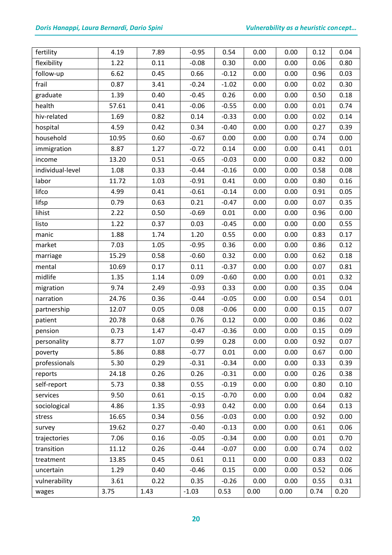## *Doris Hanappi, Laura Bernardi, Dario Spini Vulnerability as a heuristic concept…*

| fertility        | 4.19  | 7.89 | $-0.95$ | 0.54    | 0.00 | 0.00 | 0.12 | 0.04 |
|------------------|-------|------|---------|---------|------|------|------|------|
| flexibility      | 1.22  | 0.11 | $-0.08$ | 0.30    | 0.00 | 0.00 | 0.06 | 0.80 |
| follow-up        | 6.62  | 0.45 | 0.66    | $-0.12$ | 0.00 | 0.00 | 0.96 | 0.03 |
| frail            | 0.87  | 3.41 | $-0.24$ | $-1.02$ | 0.00 | 0.00 | 0.02 | 0.30 |
| graduate         | 1.39  | 0.40 | $-0.45$ | 0.26    | 0.00 | 0.00 | 0.50 | 0.18 |
| health           | 57.61 | 0.41 | $-0.06$ | $-0.55$ | 0.00 | 0.00 | 0.01 | 0.74 |
| hiv-related      | 1.69  | 0.82 | 0.14    | $-0.33$ | 0.00 | 0.00 | 0.02 | 0.14 |
| hospital         | 4.59  | 0.42 | 0.34    | $-0.40$ | 0.00 | 0.00 | 0.27 | 0.39 |
| household        | 10.95 | 0.60 | $-0.67$ | 0.00    | 0.00 | 0.00 | 0.74 | 0.00 |
| immigration      | 8.87  | 1.27 | $-0.72$ | 0.14    | 0.00 | 0.00 | 0.41 | 0.01 |
| income           | 13.20 | 0.51 | $-0.65$ | $-0.03$ | 0.00 | 0.00 | 0.82 | 0.00 |
| individual-level | 1.08  | 0.33 | $-0.44$ | $-0.16$ | 0.00 | 0.00 | 0.58 | 0.08 |
| labor            | 11.72 | 1.03 | $-0.91$ | 0.41    | 0.00 | 0.00 | 0.80 | 0.16 |
| lifco            | 4.99  | 0.41 | $-0.61$ | $-0.14$ | 0.00 | 0.00 | 0.91 | 0.05 |
| lifsp            | 0.79  | 0.63 | 0.21    | $-0.47$ | 0.00 | 0.00 | 0.07 | 0.35 |
| lihist           | 2.22  | 0.50 | $-0.69$ | 0.01    | 0.00 | 0.00 | 0.96 | 0.00 |
| listo            | 1.22  | 0.37 | 0.03    | $-0.45$ | 0.00 | 0.00 | 0.00 | 0.55 |
| manic            | 1.88  | 1.74 | 1.20    | 0.55    | 0.00 | 0.00 | 0.83 | 0.17 |
| market           | 7.03  | 1.05 | $-0.95$ | 0.36    | 0.00 | 0.00 | 0.86 | 0.12 |
| marriage         | 15.29 | 0.58 | $-0.60$ | 0.32    | 0.00 | 0.00 | 0.62 | 0.18 |
| mental           | 10.69 | 0.17 | 0.11    | $-0.37$ | 0.00 | 0.00 | 0.07 | 0.81 |
| midlife          | 1.35  | 1.14 | 0.09    | $-0.60$ | 0.00 | 0.00 | 0.01 | 0.32 |
| migration        | 9.74  | 2.49 | $-0.93$ | 0.33    | 0.00 | 0.00 | 0.35 | 0.04 |
| narration        | 24.76 | 0.36 | $-0.44$ | $-0.05$ | 0.00 | 0.00 | 0.54 | 0.01 |
| partnership      | 12.07 | 0.05 | 0.08    | $-0.06$ | 0.00 | 0.00 | 0.15 | 0.07 |
| patient          | 20.78 | 0.68 | 0.76    | 0.12    | 0.00 | 0.00 | 0.86 | 0.02 |
| pension          | 0.73  | 1.47 | $-0.47$ | $-0.36$ | 0.00 | 0.00 | 0.15 | 0.09 |
| personality      | 8.77  | 1.07 | 0.99    | 0.28    | 0.00 | 0.00 | 0.92 | 0.07 |
| poverty          | 5.86  | 0.88 | $-0.77$ | 0.01    | 0.00 | 0.00 | 0.67 | 0.00 |
| professionals    | 5.30  | 0.29 | $-0.31$ | $-0.34$ | 0.00 | 0.00 | 0.33 | 0.39 |
| reports          | 24.18 | 0.26 | 0.26    | $-0.31$ | 0.00 | 0.00 | 0.26 | 0.38 |
| self-report      | 5.73  | 0.38 | 0.55    | $-0.19$ | 0.00 | 0.00 | 0.80 | 0.10 |
| services         | 9.50  | 0.61 | $-0.15$ | $-0.70$ | 0.00 | 0.00 | 0.04 | 0.82 |
| sociological     | 4.86  | 1.35 | $-0.93$ | 0.42    | 0.00 | 0.00 | 0.64 | 0.13 |
| stress           | 16.65 | 0.34 | 0.56    | $-0.03$ | 0.00 | 0.00 | 0.92 | 0.00 |
| survey           | 19.62 | 0.27 | $-0.40$ | $-0.13$ | 0.00 | 0.00 | 0.61 | 0.06 |
| trajectories     | 7.06  | 0.16 | $-0.05$ | $-0.34$ | 0.00 | 0.00 | 0.01 | 0.70 |
| transition       | 11.12 | 0.26 | $-0.44$ | $-0.07$ | 0.00 | 0.00 | 0.74 | 0.02 |
| treatment        | 13.85 | 0.45 | 0.61    | 0.11    | 0.00 | 0.00 | 0.83 | 0.02 |
| uncertain        | 1.29  | 0.40 | $-0.46$ | 0.15    | 0.00 | 0.00 | 0.52 | 0.06 |
| vulnerability    | 3.61  | 0.22 | 0.35    | $-0.26$ | 0.00 | 0.00 | 0.55 | 0.31 |
| wages            | 3.75  | 1.43 | $-1.03$ | 0.53    | 0.00 | 0.00 | 0.74 | 0.20 |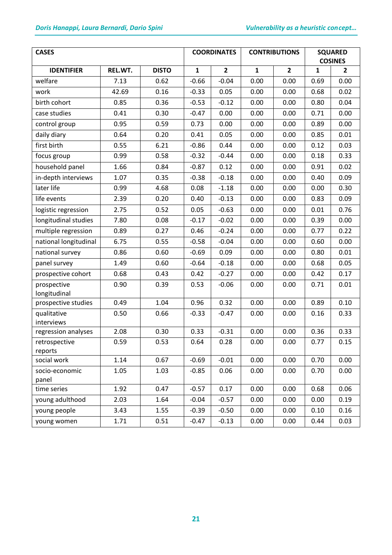| <b>CASES</b>                |         |              |              | <b>COORDINATES</b> |              | <b>CONTRIBUTIONS</b> | <b>SQUARED</b><br><b>COSINES</b> |                |
|-----------------------------|---------|--------------|--------------|--------------------|--------------|----------------------|----------------------------------|----------------|
| <b>IDENTIFIER</b>           | REL.WT. | <b>DISTO</b> | $\mathbf{1}$ | $\overline{2}$     | $\mathbf{1}$ | $\overline{2}$       | 1                                | $\overline{2}$ |
| welfare                     | 7.13    | 0.62         | $-0.66$      | $-0.04$            | 0.00         | 0.00                 | 0.69                             | 0.00           |
| work                        | 42.69   | 0.16         | $-0.33$      | 0.05               | 0.00         | 0.00                 | 0.68                             | 0.02           |
| birth cohort                | 0.85    | 0.36         | $-0.53$      | $-0.12$            | 0.00         | 0.00                 | 0.80                             | 0.04           |
| case studies                | 0.41    | 0.30         | $-0.47$      | 0.00               | 0.00         | 0.00                 | 0.71                             | 0.00           |
| control group               | 0.95    | 0.59         | 0.73         | 0.00               | 0.00         | 0.00                 | 0.89                             | 0.00           |
| daily diary                 | 0.64    | 0.20         | 0.41         | 0.05               | 0.00         | 0.00                 | 0.85                             | 0.01           |
| first birth                 | 0.55    | 6.21         | $-0.86$      | 0.44               | 0.00         | 0.00                 | 0.12                             | 0.03           |
| focus group                 | 0.99    | 0.58         | $-0.32$      | $-0.44$            | 0.00         | 0.00                 | 0.18                             | 0.33           |
| household panel             | 1.66    | 0.84         | $-0.87$      | 0.12               | 0.00         | 0.00                 | 0.91                             | 0.02           |
| in-depth interviews         | 1.07    | 0.35         | $-0.38$      | $-0.18$            | 0.00         | 0.00                 | 0.40                             | 0.09           |
| later life                  | 0.99    | 4.68         | 0.08         | $-1.18$            | 0.00         | 0.00                 | 0.00                             | 0.30           |
| life events                 | 2.39    | 0.20         | 0.40         | $-0.13$            | 0.00         | 0.00                 | 0.83                             | 0.09           |
| logistic regression         | 2.75    | 0.52         | 0.05         | $-0.63$            | 0.00         | 0.00                 | 0.01                             | 0.76           |
| longitudinal studies        | 7.80    | 0.08         | $-0.17$      | $-0.02$            | 0.00         | 0.00                 | 0.39                             | 0.00           |
| multiple regression         | 0.89    | 0.27         | 0.46         | $-0.24$            | 0.00         | 0.00                 | 0.77                             | 0.22           |
| national longitudinal       | 6.75    | 0.55         | $-0.58$      | $-0.04$            | 0.00         | 0.00                 | 0.60                             | 0.00           |
| national survey             | 0.86    | 0.60         | $-0.69$      | 0.09               | 0.00         | 0.00                 | 0.80                             | 0.01           |
| panel survey                | 1.49    | 0.60         | $-0.64$      | $-0.18$            | 0.00         | 0.00                 | 0.68                             | 0.05           |
| prospective cohort          | 0.68    | 0.43         | 0.42         | $-0.27$            | 0.00         | 0.00                 | 0.42                             | 0.17           |
| prospective<br>longitudinal | 0.90    | 0.39         | 0.53         | $-0.06$            | 0.00         | 0.00                 | 0.71                             | 0.01           |
| prospective studies         | 0.49    | 1.04         | 0.96         | 0.32               | 0.00         | 0.00                 | 0.89                             | 0.10           |
| qualitative<br>interviews   | 0.50    | 0.66         | $-0.33$      | $-0.47$            | 0.00         | 0.00                 | 0.16                             | 0.33           |
| regression analyses         | 2.08    | 0.30         | 0.33         | $-0.31$            | 0.00         | 0.00                 | 0.36                             | 0.33           |
| retrospective<br>reports    | 0.59    | 0.53         | 0.64         | 0.28               | 0.00         | 0.00                 | 0.77                             | 0.15           |
| social work                 | 1.14    | 0.67         | $-0.69$      | $-0.01$            | 0.00         | 0.00                 | 0.70                             | 0.00           |
| socio-economic<br>panel     | 1.05    | 1.03         | $-0.85$      | 0.06               | 0.00         | 0.00                 | 0.70                             | 0.00           |
| time series                 | 1.92    | 0.47         | $-0.57$      | 0.17               | 0.00         | 0.00                 | 0.68                             | 0.06           |
| young adulthood             | 2.03    | 1.64         | $-0.04$      | $-0.57$            | 0.00         | 0.00                 | 0.00                             | 0.19           |
| young people                | 3.43    | 1.55         | $-0.39$      | $-0.50$            | 0.00         | 0.00                 | 0.10                             | 0.16           |
| young women                 | 1.71    | 0.51         | $-0.47$      | $-0.13$            | 0.00         | 0.00                 | 0.44                             | 0.03           |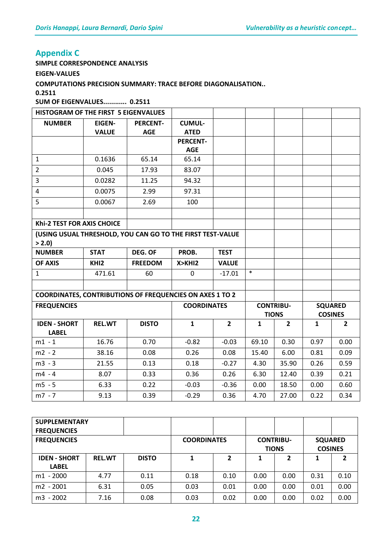## **Appendix C**

**SIMPLE CORRESPONDENCE ANALYSIS** 

**EIGEN-VALUES** 

**COMPUTATIONS PRECISION SUMMARY: TRACE BEFORE DIAGONALISATION..** 

**0.2511** 

**SUM OF EIGENVALUES............ 0.2511** 

| HISTOGRAM OF THE FIRST 5 EIGENVALUES                                |                  |                 |                               |                |              |                  |                |                |
|---------------------------------------------------------------------|------------------|-----------------|-------------------------------|----------------|--------------|------------------|----------------|----------------|
| <b>NUMBER</b>                                                       | <b>EIGEN-</b>    | <b>PERCENT-</b> | <b>CUMUL-</b>                 |                |              |                  |                |                |
|                                                                     | <b>VALUE</b>     | <b>AGE</b>      | <b>ATED</b>                   |                |              |                  |                |                |
|                                                                     |                  |                 | <b>PERCENT-</b><br><b>AGE</b> |                |              |                  |                |                |
| $\mathbf{1}$                                                        | 0.1636           | 65.14           | 65.14                         |                |              |                  |                |                |
| $\overline{2}$                                                      | 0.045            | 17.93           | 83.07                         |                |              |                  |                |                |
| $\overline{3}$                                                      | 0.0282           | 11.25           | 94.32                         |                |              |                  |                |                |
| 4                                                                   | 0.0075           | 2.99            | 97.31                         |                |              |                  |                |                |
| 5                                                                   | 0.0067           | 2.69            | 100                           |                |              |                  |                |                |
|                                                                     |                  |                 |                               |                |              |                  |                |                |
| Khi-2 TEST FOR AXIS CHOICE                                          |                  |                 |                               |                |              |                  |                |                |
|                                                                     |                  |                 |                               |                |              |                  |                |                |
| (USING USUAL THRESHOLD, YOU CAN GO TO THE FIRST TEST-VALUE<br>> 2.0 |                  |                 |                               |                |              |                  |                |                |
| <b>NUMBER</b>                                                       | <b>STAT</b>      | DEG. OF         | PROB.                         | <b>TEST</b>    |              |                  |                |                |
| <b>OF AXIS</b>                                                      | KHI <sub>2</sub> | <b>FREEDOM</b>  | X > KH12                      | <b>VALUE</b>   |              |                  |                |                |
| $\mathbf{1}$                                                        | 471.61           | 60              | $\mathbf 0$                   | $-17.01$       | $\ast$       |                  |                |                |
|                                                                     |                  |                 |                               |                |              |                  |                |                |
| <b>COORDINATES, CONTRIBUTIONS OF FREQUENCIES ON AXES 1 TO 2</b>     |                  |                 |                               |                |              |                  |                |                |
| <b>FREQUENCIES</b>                                                  |                  |                 | <b>COORDINATES</b>            |                |              | <b>CONTRIBU-</b> | <b>SQUARED</b> |                |
|                                                                     |                  |                 |                               |                |              | <b>TIONS</b>     |                | <b>COSINES</b> |
| <b>IDEN - SHORT</b>                                                 | <b>REL.WT</b>    | <b>DISTO</b>    | $\mathbf{1}$                  | $\overline{2}$ | $\mathbf{1}$ | $\overline{2}$   | $\mathbf{1}$   | $\overline{2}$ |
| <b>LABEL</b>                                                        |                  |                 |                               |                |              |                  |                |                |
| $m1 - 1$                                                            | 16.76            | 0.70            | $-0.82$                       | $-0.03$        | 69.10        | 0.30             | 0.97           | 0.00           |
| $m2 - 2$                                                            | 38.16            | 0.08            | 0.26                          | 0.08           | 15.40        | 6.00             | 0.81           | 0.09           |
| $m3 - 3$                                                            | 21.55            | 0.13            | 0.18                          | $-0.27$        | 4.30         | 35.90            | 0.26           | 0.59           |
| $m4 - 4$                                                            | 8.07             | 0.33            | 0.36                          | 0.26           | 6.30         | 12.40            | 0.39           | 0.21           |
| $m5 - 5$                                                            | 6.33             | 0.22            | $-0.03$                       | $-0.36$        | 0.00         | 18.50            | 0.00           | 0.60           |
| $m7 - 7$                                                            | 9.13             | 0.39            | $-0.29$                       | 0.36           | 4.70         | 27.00            | 0.22           | 0.34           |

| <b>SUPPLEMENTARY</b> |               |                    |      |                  |      |                |                |      |
|----------------------|---------------|--------------------|------|------------------|------|----------------|----------------|------|
| <b>FREQUENCIES</b>   |               |                    |      |                  |      |                |                |      |
| <b>FREQUENCIES</b>   |               | <b>COORDINATES</b> |      | <b>CONTRIBU-</b> |      | <b>SQUARED</b> |                |      |
|                      |               |                    |      |                  |      | <b>TIONS</b>   | <b>COSINES</b> |      |
| <b>IDEN - SHORT</b>  | <b>REL.WT</b> | <b>DISTO</b>       | 1    | 2                | 1    | 2              | 1              | 2    |
| <b>LABEL</b>         |               |                    |      |                  |      |                |                |      |
| $m1 - 2000$          | 4.77          | 0.11               | 0.18 | 0.10             | 0.00 | 0.00           | 0.31           | 0.10 |
| $m2 - 2001$          | 6.31          | 0.05               | 0.03 | 0.01             | 0.00 | 0.00           | 0.01           | 0.00 |
| $m3 - 2002$          | 7.16          | 0.08               | 0.03 | 0.02             | 0.00 | 0.00           | 0.02           | 0.00 |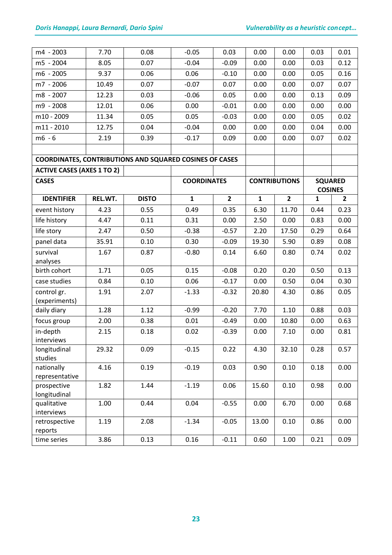| m4 - 2003                                                      | 7.70    | 0.08         | $-0.05$            | 0.03           | 0.00         | 0.00                 | 0.03                             | 0.01         |
|----------------------------------------------------------------|---------|--------------|--------------------|----------------|--------------|----------------------|----------------------------------|--------------|
| m5 - 2004                                                      | 8.05    | 0.07         | $-0.04$            | $-0.09$        | 0.00         | 0.00                 | 0.03                             | 0.12         |
| m6 - 2005                                                      | 9.37    | 0.06         | 0.06               | $-0.10$        | 0.00         | 0.00                 | 0.05                             | 0.16         |
| m7 - 2006                                                      | 10.49   | 0.07         | $-0.07$            | 0.07           | 0.00         | 0.00                 | 0.07                             | 0.07         |
| m8 - 2007                                                      | 12.23   | 0.03         | $-0.06$            | 0.05           | 0.00         | 0.00                 | 0.13                             | 0.09         |
| m9 - 2008                                                      | 12.01   | 0.06         | 0.00               | $-0.01$        | 0.00         | 0.00                 | 0.00                             | 0.00         |
| m10 - 2009                                                     | 11.34   | 0.05         | 0.05               | $-0.03$        | 0.00         | 0.00                 | 0.05                             | 0.02         |
| $m11 - 2010$                                                   | 12.75   | 0.04         | $-0.04$            | 0.00           | 0.00         | 0.00                 | 0.04                             | 0.00         |
| $m6 - 6$                                                       | 2.19    | 0.39         | $-0.17$            | 0.09           | 0.00         | 0.00                 | 0.07                             | 0.02         |
| <b>COORDINATES, CONTRIBUTIONS AND SQUARED COSINES OF CASES</b> |         |              |                    |                |              |                      |                                  |              |
| <b>ACTIVE CASES (AXES 1 TO 2)</b>                              |         |              |                    |                |              |                      |                                  |              |
| <b>CASES</b>                                                   |         |              | <b>COORDINATES</b> |                |              | <b>CONTRIBUTIONS</b> |                                  |              |
|                                                                |         |              |                    |                |              |                      | <b>SQUARED</b><br><b>COSINES</b> |              |
| <b>IDENTIFIER</b>                                              | REL.WT. | <b>DISTO</b> | $\mathbf{1}$       | $\overline{2}$ | $\mathbf{1}$ | $\overline{2}$       | 1                                | $\mathbf{2}$ |
| event history                                                  | 4.23    | 0.55         | 0.49               | 0.35           | 6.30         | 11.70                | 0.44                             | 0.23         |
| life history                                                   | 4.47    | 0.11         | 0.31               | 0.00           | 2.50         | 0.00                 | 0.83                             | 0.00         |
| life story                                                     | 2.47    | 0.50         | $-0.38$            | $-0.57$        | 2.20         | 17.50                | 0.29                             | 0.64         |
| panel data                                                     | 35.91   | 0.10         | 0.30               | $-0.09$        | 19.30        | 5.90                 | 0.89                             | 0.08         |
| survival                                                       | 1.67    | 0.87         | $-0.80$            | 0.14           | 6.60         | 0.80                 | 0.74                             | 0.02         |
| analyses                                                       |         |              |                    |                |              |                      |                                  |              |
| birth cohort                                                   | 1.71    | 0.05         | 0.15               | $-0.08$        | 0.20         | 0.20                 | 0.50                             | 0.13         |
| case studies                                                   | 0.84    | 0.10         | 0.06               | $-0.17$        | 0.00         | 0.50                 | 0.04                             | 0.30         |
| control gr.                                                    | 1.91    | 2.07         | $-1.33$            | $-0.32$        | 20.80        | 4.30                 | 0.86                             | 0.05         |
| (experiments)<br>daily diary                                   | 1.28    | 1.12         | $-0.99$            | $-0.20$        | 7.70         | 1.10                 | 0.88                             | 0.03         |
| focus group                                                    | 2.00    | 0.38         | 0.01               | $-0.49$        | 0.00         | 10.80                | 0.00                             | 0.63         |
| in-depth                                                       | 2.15    | 0.18         | 0.02               | $-0.39$        | 0.00         | 7.10                 | 0.00                             | 0.81         |
| interviews                                                     |         |              |                    |                |              |                      |                                  |              |
| longitudinal                                                   | 29.32   | 0.09         | $-0.15$            | 0.22           | 4.30         | 32.10                | 0.28                             | 0.57         |
| studies                                                        |         |              |                    |                |              |                      |                                  |              |
| nationally                                                     | 4.16    | 0.19         | $-0.19$            | 0.03           | 0.90         | 0.10                 | 0.18                             | 0.00         |
| representative                                                 |         |              |                    |                |              |                      |                                  |              |
| prospective<br>longitudinal                                    | 1.82    | 1.44         | $-1.19$            | 0.06           | 15.60        | 0.10                 | 0.98                             | 0.00         |
| qualitative                                                    | 1.00    | 0.44         | 0.04               | $-0.55$        | 0.00         | 6.70                 | 0.00                             | 0.68         |
| interviews                                                     |         |              |                    |                |              |                      |                                  |              |
| retrospective                                                  | 1.19    | 2.08         | $-1.34$            | $-0.05$        | 13.00        | 0.10                 | 0.86                             | 0.00         |
| reports                                                        |         |              |                    |                |              |                      |                                  |              |
| time series                                                    | 3.86    | 0.13         | 0.16               | $-0.11$        | 0.60         | 1.00                 | 0.21                             | 0.09         |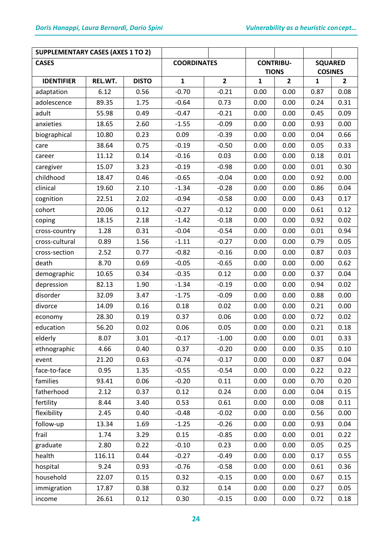| <b>SUPPLEMENTARY CASES (AXES 1 TO 2)</b> |         |                    |              |                  |              |                |                |                |
|------------------------------------------|---------|--------------------|--------------|------------------|--------------|----------------|----------------|----------------|
| <b>CASES</b>                             |         | <b>COORDINATES</b> |              | <b>CONTRIBU-</b> |              | <b>SQUARED</b> |                |                |
|                                          |         |                    |              |                  | <b>TIONS</b> |                | <b>COSINES</b> |                |
| <b>IDENTIFIER</b>                        | REL.WT. | <b>DISTO</b>       | $\mathbf{1}$ | $\overline{2}$   | $\mathbf{1}$ | $\overline{2}$ | 1              | $\overline{2}$ |
| adaptation                               | 6.12    | 0.56               | $-0.70$      | $-0.21$          | 0.00         | 0.00           | 0.87           | 0.08           |
| adolescence                              | 89.35   | 1.75               | $-0.64$      | 0.73             | 0.00         | 0.00           | 0.24           | 0.31           |
| adult                                    | 55.98   | 0.49               | $-0.47$      | $-0.21$          | 0.00         | 0.00           | 0.45           | 0.09           |
| anxieties                                | 18.65   | 2.60               | $-1.55$      | $-0.09$          | 0.00         | 0.00           | 0.93           | 0.00           |
| biographical                             | 10.80   | 0.23               | 0.09         | $-0.39$          | 0.00         | 0.00           | 0.04           | 0.66           |
| care                                     | 38.64   | 0.75               | $-0.19$      | $-0.50$          | 0.00         | 0.00           | 0.05           | 0.33           |
| career                                   | 11.12   | 0.14               | $-0.16$      | 0.03             | 0.00         | 0.00           | 0.18           | 0.01           |
| caregiver                                | 15.07   | 3.23               | $-0.19$      | $-0.98$          | 0.00         | 0.00           | 0.01           | 0.30           |
| childhood                                | 18.47   | 0.46               | $-0.65$      | $-0.04$          | 0.00         | 0.00           | 0.92           | 0.00           |
| clinical                                 | 19.60   | 2.10               | $-1.34$      | $-0.28$          | 0.00         | 0.00           | 0.86           | 0.04           |
| cognition                                | 22.51   | 2.02               | $-0.94$      | $-0.58$          | 0.00         | 0.00           | 0.43           | 0.17           |
| cohort                                   | 20.06   | 0.12               | $-0.27$      | $-0.12$          | 0.00         | 0.00           | 0.61           | 0.12           |
| coping                                   | 18.15   | 2.18               | $-1.42$      | $-0.18$          | 0.00         | 0.00           | 0.92           | 0.02           |
| cross-country                            | 1.28    | 0.31               | $-0.04$      | $-0.54$          | 0.00         | 0.00           | 0.01           | 0.94           |
| cross-cultural                           | 0.89    | 1.56               | $-1.11$      | $-0.27$          | 0.00         | 0.00           | 0.79           | 0.05           |
| cross-section                            | 2.52    | 0.77               | $-0.82$      | $-0.16$          | 0.00         | 0.00           | 0.87           | 0.03           |
| death                                    | 8.70    | 0.69               | $-0.05$      | $-0.65$          | 0.00         | 0.00           | 0.00           | 0.62           |
| demographic                              | 10.65   | 0.34               | $-0.35$      | 0.12             | 0.00         | 0.00           | 0.37           | 0.04           |
| depression                               | 82.13   | 1.90               | $-1.34$      | $-0.19$          | 0.00         | 0.00           | 0.94           | 0.02           |
| disorder                                 | 32.09   | 3.47               | $-1.75$      | $-0.09$          | 0.00         | 0.00           | 0.88           | 0.00           |
| divorce                                  | 14.09   | 0.16               | 0.18         | 0.02             | 0.00         | 0.00           | 0.21           | 0.00           |
| economy                                  | 28.30   | 0.19               | 0.37         | 0.06             | 0.00         | 0.00           | 0.72           | 0.02           |
| education                                | 56.20   | 0.02               | 0.06         | 0.05             | 0.00         | 0.00           | 0.21           | 0.18           |
| elderly                                  | 8.07    | 3.01               | $-0.17$      | $-1.00$          | 0.00         | 0.00           | 0.01           | 0.33           |
| ethnographic                             | 4.66    | 0.40               | 0.37         | $-0.20$          | 0.00         | 0.00           | 0.35           | 0.10           |
| event                                    | 21.20   | 0.63               | $-0.74$      | $-0.17$          | 0.00         | 0.00           | 0.87           | 0.04           |
| face-to-face                             | 0.95    | 1.35               | $-0.55$      | $-0.54$          | 0.00         | 0.00           | 0.22           | 0.22           |
| families                                 | 93.41   | 0.06               | $-0.20$      | 0.11             | 0.00         | 0.00           | 0.70           | 0.20           |
| fatherhood                               | 2.12    | 0.37               | 0.12         | 0.24             | 0.00         | 0.00           | 0.04           | 0.15           |
| fertility                                | 8.44    | 3.40               | 0.53         | 0.61             | 0.00         | 0.00           | 0.08           | 0.11           |
| flexibility                              | 2.45    | 0.40               | $-0.48$      | $-0.02$          | 0.00         | 0.00           | 0.56           | 0.00           |
| follow-up                                | 13.34   | 1.69               | $-1.25$      | $-0.26$          | 0.00         | 0.00           | 0.93           | 0.04           |
| frail                                    | 1.74    | 3.29               | 0.15         | $-0.85$          | 0.00         | 0.00           | 0.01           | 0.22           |
| graduate                                 | 2.80    | 0.22               | $-0.10$      | 0.23             | 0.00         | 0.00           | 0.05           | 0.25           |
| health                                   | 116.11  | 0.44               | $-0.27$      | $-0.49$          | 0.00         | 0.00           | 0.17           | 0.55           |
| hospital                                 | 9.24    | 0.93               | $-0.76$      | $-0.58$          | 0.00         | 0.00           | 0.61           | 0.36           |
| household                                | 22.07   | 0.15               | 0.32         | $-0.15$          | 0.00         | 0.00           | 0.67           | 0.15           |
| immigration                              | 17.87   | 0.38               | 0.32         | 0.14             | 0.00         | 0.00           | 0.27           | 0.05           |
| income                                   | 26.61   | 0.12               | 0.30         | $-0.15$          | 0.00         | 0.00           | 0.72           | 0.18           |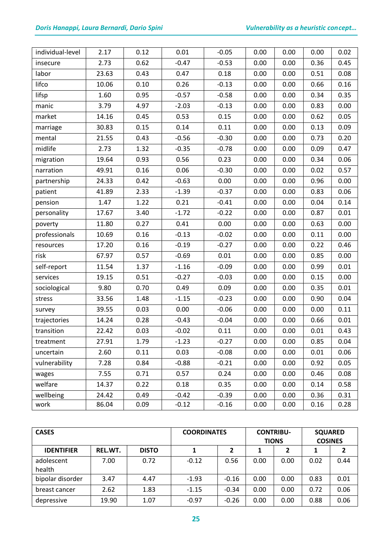## *Doris Hanappi, Laura Bernardi, Dario Spini Vulnerability as a heuristic concept…*

| individual-level | 2.17  | 0.12 | 0.01    | $-0.05$ | 0.00 | 0.00 | 0.00 | 0.02 |
|------------------|-------|------|---------|---------|------|------|------|------|
| insecure         | 2.73  | 0.62 | $-0.47$ | $-0.53$ | 0.00 | 0.00 | 0.36 | 0.45 |
| labor            | 23.63 | 0.43 | 0.47    | 0.18    | 0.00 | 0.00 | 0.51 | 0.08 |
| lifco            | 10.06 | 0.10 | 0.26    | $-0.13$ | 0.00 | 0.00 | 0.66 | 0.16 |
| lifsp            | 1.60  | 0.95 | $-0.57$ | $-0.58$ | 0.00 | 0.00 | 0.34 | 0.35 |
| manic            | 3.79  | 4.97 | $-2.03$ | $-0.13$ | 0.00 | 0.00 | 0.83 | 0.00 |
| market           | 14.16 | 0.45 | 0.53    | 0.15    | 0.00 | 0.00 | 0.62 | 0.05 |
| marriage         | 30.83 | 0.15 | 0.14    | 0.11    | 0.00 | 0.00 | 0.13 | 0.09 |
| mental           | 21.55 | 0.43 | $-0.56$ | $-0.30$ | 0.00 | 0.00 | 0.73 | 0.20 |
| midlife          | 2.73  | 1.32 | $-0.35$ | $-0.78$ | 0.00 | 0.00 | 0.09 | 0.47 |
| migration        | 19.64 | 0.93 | 0.56    | 0.23    | 0.00 | 0.00 | 0.34 | 0.06 |
| narration        | 49.91 | 0.16 | 0.06    | $-0.30$ | 0.00 | 0.00 | 0.02 | 0.57 |
| partnership      | 24.33 | 0.42 | $-0.63$ | 0.00    | 0.00 | 0.00 | 0.96 | 0.00 |
| patient          | 41.89 | 2.33 | $-1.39$ | $-0.37$ | 0.00 | 0.00 | 0.83 | 0.06 |
| pension          | 1.47  | 1.22 | 0.21    | $-0.41$ | 0.00 | 0.00 | 0.04 | 0.14 |
| personality      | 17.67 | 3.40 | $-1.72$ | $-0.22$ | 0.00 | 0.00 | 0.87 | 0.01 |
| poverty          | 11.80 | 0.27 | 0.41    | 0.00    | 0.00 | 0.00 | 0.63 | 0.00 |
| professionals    | 10.69 | 0.16 | $-0.13$ | $-0.02$ | 0.00 | 0.00 | 0.11 | 0.00 |
| resources        | 17.20 | 0.16 | $-0.19$ | $-0.27$ | 0.00 | 0.00 | 0.22 | 0.46 |
| risk             | 67.97 | 0.57 | $-0.69$ | 0.01    | 0.00 | 0.00 | 0.85 | 0.00 |
| self-report      | 11.54 | 1.37 | $-1.16$ | $-0.09$ | 0.00 | 0.00 | 0.99 | 0.01 |
| services         | 19.15 | 0.51 | $-0.27$ | $-0.03$ | 0.00 | 0.00 | 0.15 | 0.00 |
| sociological     | 9.80  | 0.70 | 0.49    | 0.09    | 0.00 | 0.00 | 0.35 | 0.01 |
| stress           | 33.56 | 1.48 | $-1.15$ | $-0.23$ | 0.00 | 0.00 | 0.90 | 0.04 |
| survey           | 39.55 | 0.03 | 0.00    | $-0.06$ | 0.00 | 0.00 | 0.00 | 0.11 |
| trajectories     | 14.24 | 0.28 | $-0.43$ | $-0.04$ | 0.00 | 0.00 | 0.66 | 0.01 |
| transition       | 22.42 | 0.03 | $-0.02$ | 0.11    | 0.00 | 0.00 | 0.01 | 0.43 |
| treatment        | 27.91 | 1.79 | $-1.23$ | $-0.27$ | 0.00 | 0.00 | 0.85 | 0.04 |
| uncertain        | 2.60  | 0.11 | 0.03    | $-0.08$ | 0.00 | 0.00 | 0.01 | 0.06 |
| vulnerability    | 7.28  | 0.84 | $-0.88$ | $-0.21$ | 0.00 | 0.00 | 0.92 | 0.05 |
| wages            | 7.55  | 0.71 | 0.57    | 0.24    | 0.00 | 0.00 | 0.46 | 0.08 |
| welfare          | 14.37 | 0.22 | 0.18    | 0.35    | 0.00 | 0.00 | 0.14 | 0.58 |
| wellbeing        | 24.42 | 0.49 | $-0.42$ | $-0.39$ | 0.00 | 0.00 | 0.36 | 0.31 |
| work             | 86.04 | 0.09 | $-0.12$ | $-0.16$ | 0.00 | 0.00 | 0.16 | 0.28 |

| <b>CASES</b>         |         |              | <b>COORDINATES</b> |                | <b>CONTRIBU-</b><br><b>TIONS</b> |      | <b>SQUARED</b><br><b>COSINES</b> |      |
|----------------------|---------|--------------|--------------------|----------------|----------------------------------|------|----------------------------------|------|
| <b>IDENTIFIER</b>    | REL.WT. | <b>DISTO</b> |                    | $\overline{2}$ |                                  | 2    |                                  |      |
| adolescent<br>health | 7.00    | 0.72         | $-0.12$            | 0.56           | 0.00                             | 0.00 | 0.02                             | 0.44 |
| bipolar disorder     | 3.47    | 4.47         | $-1.93$            | $-0.16$        | 0.00                             | 0.00 | 0.83                             | 0.01 |
| breast cancer        | 2.62    | 1.83         | $-1.15$            | $-0.34$        | 0.00                             | 0.00 | 0.72                             | 0.06 |
| depressive           | 19.90   | 1.07         | $-0.97$            | $-0.26$        | 0.00                             | 0.00 | 0.88                             | 0.06 |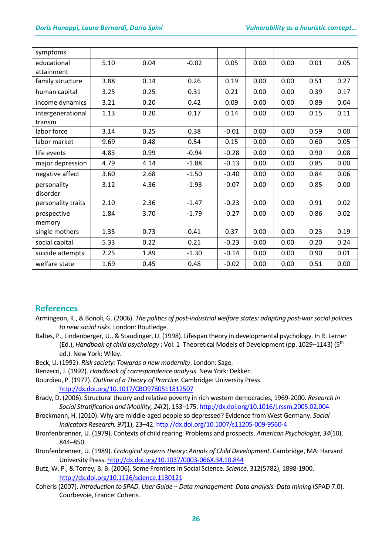| symptoms                    |      |      |         |         |      |      |      |      |
|-----------------------------|------|------|---------|---------|------|------|------|------|
| educational<br>attainment   | 5.10 | 0.04 | $-0.02$ | 0.05    | 0.00 | 0.00 | 0.01 | 0.05 |
| family structure            | 3.88 | 0.14 | 0.26    | 0.19    | 0.00 | 0.00 | 0.51 | 0.27 |
| human capital               | 3.25 | 0.25 | 0.31    | 0.21    | 0.00 | 0.00 | 0.39 | 0.17 |
| income dynamics             | 3.21 | 0.20 | 0.42    | 0.09    | 0.00 | 0.00 | 0.89 | 0.04 |
| intergenerational<br>transm | 1.13 | 0.20 | 0.17    | 0.14    | 0.00 | 0.00 | 0.15 | 0.11 |
| labor force                 | 3.14 | 0.25 | 0.38    | $-0.01$ | 0.00 | 0.00 | 0.59 | 0.00 |
| labor market                | 9.69 | 0.48 | 0.54    | 0.15    | 0.00 | 0.00 | 0.60 | 0.05 |
| life events                 | 4.83 | 0.99 | $-0.94$ | $-0.28$ | 0.00 | 0.00 | 0.90 | 0.08 |
| major depression            | 4.79 | 4.14 | $-1.88$ | $-0.13$ | 0.00 | 0.00 | 0.85 | 0.00 |
| negative affect             | 3.60 | 2.68 | $-1.50$ | $-0.40$ | 0.00 | 0.00 | 0.84 | 0.06 |
| personality<br>disorder     | 3.12 | 4.36 | $-1.93$ | $-0.07$ | 0.00 | 0.00 | 0.85 | 0.00 |
| personality traits          | 2.10 | 2.36 | $-1.47$ | $-0.23$ | 0.00 | 0.00 | 0.91 | 0.02 |
| prospective<br>memory       | 1.84 | 3.70 | $-1.79$ | $-0.27$ | 0.00 | 0.00 | 0.86 | 0.02 |
| single mothers              | 1.35 | 0.73 | 0.41    | 0.37    | 0.00 | 0.00 | 0.23 | 0.19 |
| social capital              | 5.33 | 0.22 | 0.21    | $-0.23$ | 0.00 | 0.00 | 0.20 | 0.24 |
| suicide attempts            | 2.25 | 1.89 | $-1.30$ | $-0.14$ | 0.00 | 0.00 | 0.90 | 0.01 |
| welfare state               | 1.69 | 0.45 | 0.48    | $-0.02$ | 0.00 | 0.00 | 0.51 | 0.00 |

## **References**

- Armingeon, K., & Bonoli, G. (2006). *The politics of post-industrial welfare states: adapting post-war social policies to new social risks*. London: Routledge*.*
- Baltes, P., Lindenberger, U., & Staudinger, U. (1998). Lifespan theory in developmental psychology. In R. Lerner (Ed.), *Handbook of child psychology* : Vol. 1 Theoretical Models of Development (pp. 1029–1143) (5th ed.). New York: Wiley.
- Beck, U. (1992). *Risk society: Towards a new modernity*. London: Sage.
- Benzecri, J. (1992). *Handbook of correspondence analysis*. New York: Dekker.
- Bourdieu, P. (1977). *Outline of a Theory of Practice*. Cambridge: University Press. <http://dx.doi.org/10.1017/CBO9780511812507>
- Brady, D. (2006). Structural theory and relative poverty in rich western democracies, 1969-2000. *Research in Social Stratification and Mobility, 24*(2), 153–175.<http://dx.doi.org/10.1016/j.rssm.2005.02.004>
- Brockmann, H. (2010). Why are middle-aged people so depressed? Evidence from West Germany. *Social Indicators Research, 97*(1), 23–42[. http://dx.doi.org/10.1007/s11205-009-9560-4](http://dx.doi.org/10.1007/s11205-009-9560-4)
- Bronfenbrenner, U. (1979). Contexts of child rearing: Problems and prospects. *American Psychologist*, *34*(10), 844–850.
- Bronfenbrenner, U. (1989). *Ecological systems theory*: *Annals of Child Development*. Cambridge, MA: Harvard University Press.<http://dx.doi.org/10.1037/0003-066X.34.10.844>
- Butz, W. P., & Torrey, B. B. (2006). Some Frontiers in Social Science. *Science*, 312(5782), 1898-1900. <http://dx.doi.org/10.1126/science.1130121>
- Coheris (2007). *Introduction to SPAD. User Guide – Data management. Data analysis. Data mining* (SPAD 7.0). Courbevoie, France: Coheris.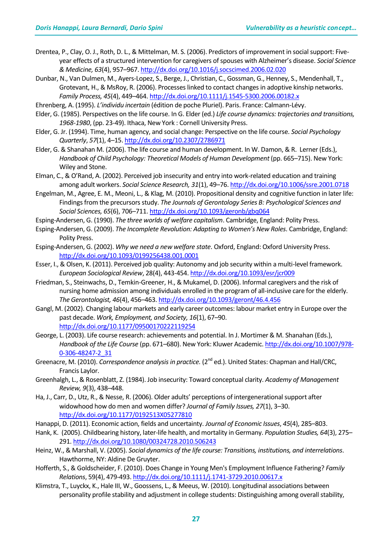- Drentea, P., Clay, O. J., Roth, D. L., & Mittelman, M. S. (2006). Predictors of improvement in social support: Fiveyear effects of a structured intervention for caregivers of spouses with Alzheimer's disease. *Social Science & Medicine, 63*(4), 957–967[. http://dx.doi.org/10.1016/j.socscimed.2006.02.020](http://dx.doi.org/10.1016/j.socscimed.2006.02.020)
- Dunbar, N., Van Dulmen, M., Ayers-Lopez, S., Berge, J., Christian, C., Gossman, G., Henney, S., Mendenhall, T., Grotevant, H., & MsRoy, R. (2006). Processes linked to contact changes in adoptive kinship networks. *Family Process, 45*(4), 449–464[. http://dx.doi.org/10.1111/j.1545-5300.2006.00182.x](http://dx.doi.org/10.1111/j.1545-5300.2006.00182.x)
- Ehrenberg, A. (1995). *L'individu incertain* (édition de poche Pluriel). Paris. France: Calmann-Lévy.
- Elder, G. (1985). Perspectives on the life course. In G. Elder (ed.) *Life course dynamics: trajectories and transitions, 1968-1980*, (pp. 23-49). Ithaca, New York : Cornell University Press.
- Elder, G. Jr. (1994). Time, human agency, and social change: Perspective on the life course. *Social Psychology Quarterly*, *57*(1), 4–15[. http://dx.doi.org/10.2307/2786971](http://dx.doi.org/10.2307/2786971)
- Elder, G. & Shanahan M. (2006). The life course and human development. In W. Damon, & R. Lerner (Eds.), *Handbook of Child Psychology: Theoretical Models of Human Development* (pp. 665–715). New York: Wiley and Stone.
- Elman, C., & O'Rand, A. (2002). Perceived job insecurity and entry into work-related education and training among adult workers. *Social Science Research, 31*(1), 49–76[. http://dx.doi.org/10.1006/ssre.2001.0718](http://dx.doi.org/10.1006/ssre.2001.0718)
- Engelman, M., Agree, E. M., Meoni, L., & Klag, M. (2010). Propositional density and cognitive function in later life: Findings from the precursors study. *The Journals of Gerontology Series B: Psychological Sciences and Social Sciences, 65*(6), 706–711[. http://dx.doi.org/10.1093/geronb/gbq064](http://dx.doi.org/10.1093/geronb/gbq064)
- Esping-Andersen, G. (1990). *The three worlds of welfare capitalism*. Cambridge, England: Polity Press.
- Esping-Andersen, G. (2009). *The Incomplete Revolution: Adapting to Women's New Roles*. Cambridge, England: Polity Press.
- Esping-Andersen, G. (2002). *Why we need a new welfare state*. Oxford, England: Oxford University Press. <http://dx.doi.org/10.1093/0199256438.001.0001>
- Esser, I., & Olsen, K. (2011). Perceived job quality: Autonomy and job security within a multi-level framework. *European Sociological Review*, 28(4), 443-454[. http://dx.doi.org/10.1093/esr/jcr009](http://dx.doi.org/10.1093/esr/jcr009)
- Friedman, S., Steinwachs, D., Temkin-Greener, H., & Mukamel, D. (2006). Informal caregivers and the risk of nursing home admission among individuals enrolled in the program of all-inclusive care for the elderly. *The Gerontologist, 46*(4), 456–463[. http://dx.doi.org/10.1093/geront/46.4.456](http://dx.doi.org/10.1093/geront/46.4.456)
- Gangl, M. (2002). Changing labour markets and early career outcomes: labour market entry in Europe over the past decade. *Work, Employment, and Society, 16*(1), 67–90. <http://dx.doi.org/10.1177/09500170222119254>
- George, L. (2003). Life course research: achievements and potential. In J. Mortimer & M. Shanahan (Eds.), *Handbook of the Life Course* (pp. 671–680). New York: Kluwer Academic[. http://dx.doi.org/10.1007/978-](http://dx.doi.org/10.1007/978-0-306-48247-2_31) [0-306-48247-2\\_31](http://dx.doi.org/10.1007/978-0-306-48247-2_31)
- Greenacre, M. (2010). *Correspondence analysis in practice.* (2<sup>nd</sup> ed.). United States: Chapman and Hall/CRC, Francis Laylor.
- Greenhalgh, L., & Rosenblatt, Z. (1984). Job insecurity: Toward conceptual clarity. *Academy of Management Review, 9*(3), 438–448.
- Ha, J., Carr, D., Utz, R., & Nesse, R. (2006). Older adults' perceptions of intergenerational support after widowhood how do men and women differ? *Journal of Family Issues, 27*(1), 3–30. <http://dx.doi.org/10.1177/0192513X05277810>
- Hanappi, D. (2011). Economic action, fields and uncertainty. *Journal of Economic Issues*, *45*(4), 285–803.
- Hank, K. (2005). Childbearing history, later-life health, and mortality in Germany. *Population Studies, 64*(3), 275– 291.<http://dx.doi.org/10.1080/00324728.2010.506243>
- Heinz, W., & Marshall, V. (2005). *Social dynamics of the life course: Transitions, institutions, and interrelations*. Hawthorme, NY: Aldine De Gruyter.
- Hofferth, S., & Goldscheider, F. (2010). Does Change in Young Men's Employment Influence Fathering? *Family Relations*, 59(4), 479-493[. http://dx.doi.org/10.1111/j.1741-3729.2010.00617.x](http://dx.doi.org/10.1111/j.1741-3729.2010.00617.x)
- Klimstra, T., Luyckx, K., Hale III, W., Goossens, L., & Meeus, W. (2010). Longitudinal associations between personality profile stability and adjustment in college students: Distinguishing among overall stability,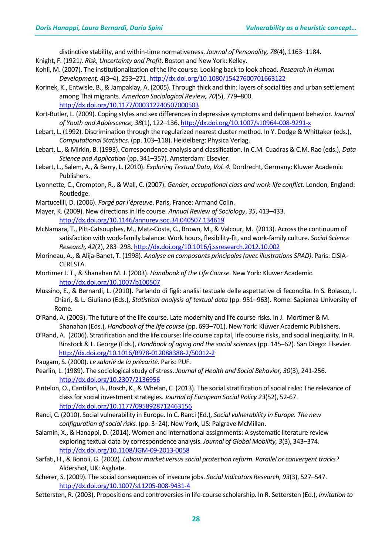distinctive stability, and within-time normativeness. *Journal of Personality, 78*(4), 1163–1184.

- Knight, F. (1921*). Risk, Uncertainty and Profit*. Boston and New York: Kelley.
- Kohli, M. (2007). The institutionalization of the life course: Looking back to look ahead. *Research in Human Development, 4*(3–4), 253–271.<http://dx.doi.org/10.1080/15427600701663122>
- Korinek, K., Entwisle, B., & Jampaklay, A. (2005). Through thick and thin: layers of social ties and urban settlement among Thai migrants. *American Sociological Review, 70*(5), 779–800. <http://dx.doi.org/10.1177/000312240507000503>
- Kort-Butler, L. (2009). Coping styles and sex differences in depressive symptoms and delinquent behavior. *Journal of Youth and Adolescence, 38*(1), 122–136[. http://dx.doi.org/10.1007/s10964-008-9291-x](http://dx.doi.org/10.1007/s10964-008-9291-x)
- Lebart, L. (1992). Discrimination through the regularized nearest cluster method. In Y. Dodge & Whittaker (eds.), *Computational Statistics*. (pp. 103–118). Heidelberg: Physica Verlag.
- Lebart, L., & Mirkin, B. (1993). Correspondence analysis and classification. In C.M. Cuadras & C.M. Rao (eds.), *Data Science and Application* (pp. 341–357). Amsterdam: Elsevier.
- Lebart, L., Salem, A., & Berry, L. (2010). *Exploring Textual Data*, *Vol. 4.* Dordrecht, Germany: Kluwer Academic Publishers.
- Lyonnette, C., Crompton, R., & Wall, C. (2007). *Gender, occupational class and work-life conflict*. London, England: Routledge.
- Martucellli, D. (2006). *Forgé par l'épreuve*. Paris, France: Armand Colin.
- Mayer, K. (2009). New directions in life course. *Annual Review of Sociology*, *35*, 413–433. <http://dx.doi.org/10.1146/annurev.soc.34.040507.134619>
- McNamara, T., Pitt-Catsouphes, M., Matz-Costa, C., Brown, M., & Valcour, M. (2013). Across the continuum of satisfaction with work-family balance: Work hours, flexibility-fit, and work-family culture. *Social Science Research, 42*(2), 283–298[. http://dx.doi.org/10.1016/j.ssresearch.2012.10.002](http://dx.doi.org/10.1016/j.ssresearch.2012.10.002)
- Morineau, A., & Alija-Banet, T. (1998). *Analyse en composants principales(avec illustrations SPAD)*. Paris: CISIA-CERESTA.
- Mortimer J. T., & Shanahan M. J. (2003). *Handbook of the Life Course*. New York: Kluwer Academic. <http://dx.doi.org/10.1007/b100507>
- Mussino, E., & Bernardi, L. (2010**).** Parlando di figli: analisi testuale delle aspettative di fecondita. In S. Bolasco, I. Chiari, & L. Giuliano (Eds.), *Statistical analysis of textual data* (pp. 951–963). Rome: Sapienza University of Rome.
- O'Rand, A. (2003). The future of the life course. Late modernity and life course risks. In J. Mortimer & M. Shanahan (Eds.), *Handbook of the life course* (pp. 693–701). New York: Kluwer Academic Publishers.
- O'Rand, A. (2006). Stratification and the life course: life course capital, life course risks, and social inequality. In R. Binstock & L. George (Eds.), *Handbook of aging and the social sciences* (pp. 145–62). San Diego: Elsevier. <http://dx.doi.org/10.1016/B978-012088388-2/50012-2>
- Paugam, S. (2000). *Le salarié de la précarité*. Paris: PUF.
- Pearlin, L. (1989). The sociological study of stress. *Journal of Health and Social Behavior, 30*(3), 241-256. <http://dx.doi.org/10.2307/2136956>
- Pintelon, O., Cantillon, B., Bosch, K., & Whelan, C. (2013). The social stratification of social risks: The relevance of class for social investment strategies*. Journal of European Social Policy 23*(52), 52-67. <http://dx.doi.org/10.1177/0958928712463156>
- Ranci, C. (2010). Social vulnerability in Europe. In C. Ranci (Ed.), *Social vulnerability in Europe. The new configuration of social risks.* (pp. 3–24). New York, US: Palgrave McMillan.
- Salamin, X., & Hanappi, D. (2014). Women and international assignments: A systematic literature review exploring textual data by correspondence analysis. *Journal of Global Mobility, 3*(3), 343–374. <http://dx.doi.org/10.1108/JGM-09-2013-0058>
- Sarfati, H., & Bonoli, G. (2002). *Labour market versus social protection reform. Parallel or convergent tracks?* Aldershot, UK: Asghate.
- Scherer, S. (2009). The social consequences of insecure jobs. *Social Indicators Research, 93*(3), 527–547. <http://dx.doi.org/10.1007/s11205-008-9431-4>
- Settersten, R. (2003). Propositions and controversies in life-course scholarship. In R. Settersten (Ed.), *Invitation to*